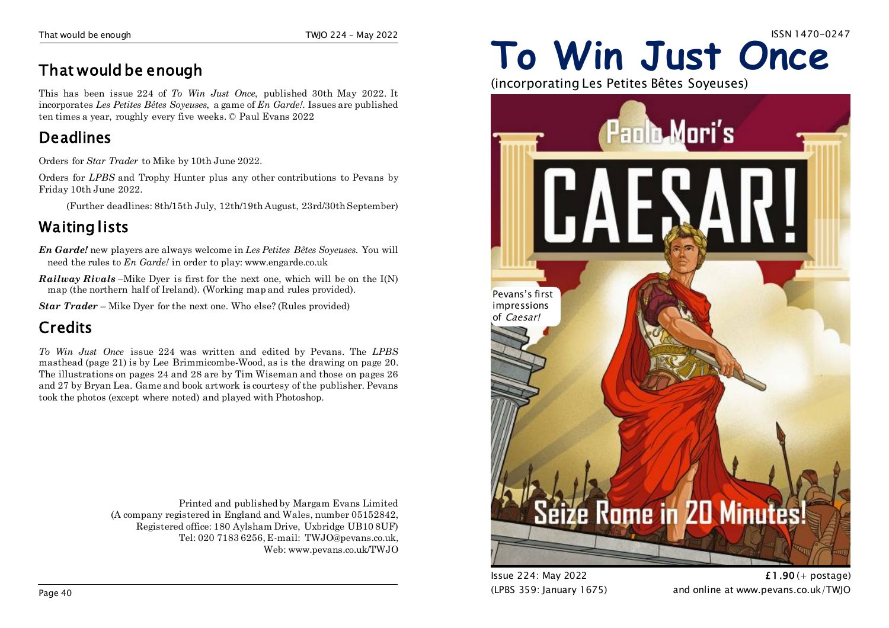### **That would be enough**

This has been issue 224 of *To Win Just Once*, published 30th May 2022. It incorporates *Les Petites Bêtes Soyeuses*, a game of *En Garde!*. Issues are published ten times a year, roughly every five weeks. © Paul Evans 2022

### **Deadlines**

Orders for *Star Trader* to Mike by 10th June 2022.

Orders for *LPBS* and Trophy Hunter plus any other contributions to Pevans by Friday 10th June 2022.

(Further deadlines: 8th/15th July, 12th/19th August, 23rd/30thSeptember)

### **Waiting lists**

*En Garde!* new players are always welcome in *Les Petites Bêtes Soyeuses*. You will need the rules to *En Garde!* in order to play: www.engarde.co.uk

*Railway Rivals* –Mike Dyer is first for the next one, which will be on the I(N) map (the northern half of Ireland). (Working map and rules provided).

*Star Trader* – Mike Dyer for the next one. Who else? (Rules provided)

### **Credits**

*To Win Just Once* issue 224 was written and edited by Pevans. The *LPBS* masthead (page 21) is by Lee Brimmicombe-Wood, as is the drawing on page 20. The illustrations on pages 24 and 28 are by Tim Wiseman and those on pages 26 and 27 by Bryan Lea. Game and book artwork is courtesy of the publisher. Pevans took the photos (except where noted) and played with Photoshop.

> Printed and published by Margam Evans Limited (A company registered in England and Wales, number 05152842, Registered office: 180 Aylsham Drive, Uxbridge UB10 8UF) Tel: 020 7183 6256, E-mail: TWJO@pevans.co.uk, Web: www.pevans.co.uk/TWJO

# **To Win Just Once**

(incorporating Les Petites Bêtes Soyeuses)



Issue 224: May 2022 **£1.90** (+ postage) (LPBS 359: January 1675) and online at www.pevans.co.uk/TWJO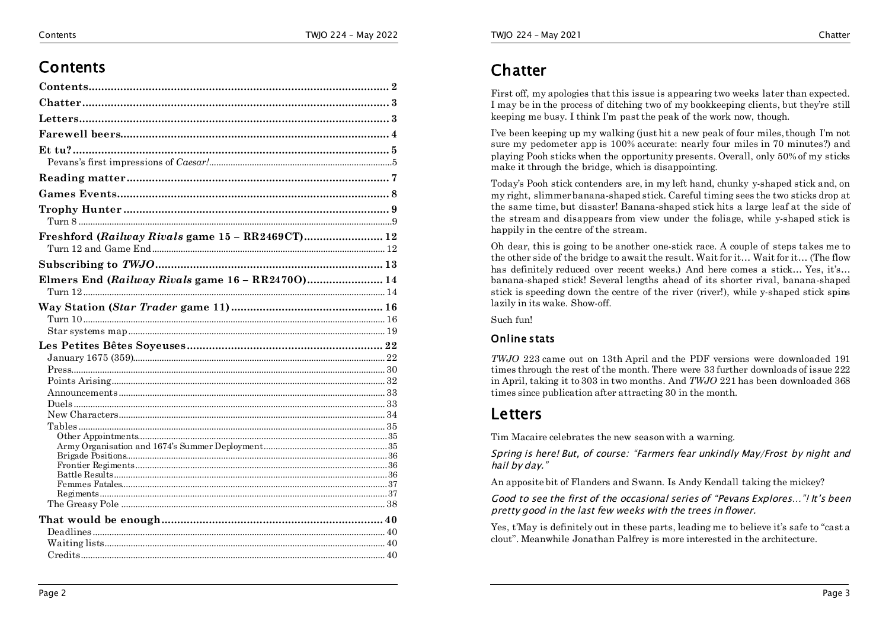### **Contents**

| Freshford (Railway Rivals game 15 - RR2469CT) 12 |  |
|--------------------------------------------------|--|
|                                                  |  |
|                                                  |  |
| Elmers End (Railway Rivals game 16 - RR24700) 14 |  |
|                                                  |  |
|                                                  |  |
|                                                  |  |
|                                                  |  |
|                                                  |  |
|                                                  |  |
|                                                  |  |
|                                                  |  |
|                                                  |  |
|                                                  |  |
|                                                  |  |
|                                                  |  |
|                                                  |  |
|                                                  |  |
|                                                  |  |
|                                                  |  |
|                                                  |  |
|                                                  |  |
|                                                  |  |
|                                                  |  |
|                                                  |  |
|                                                  |  |
|                                                  |  |

### **Chatter**

First off, my apologies that this issue is appearing two weeks later than expected. I may be in the process of ditching two of my bookkeeping clients, but they're still keeping me busy. I think I'm past the peak of the work now, though.

I've been keeping up my walking (just hit a new peak of four miles, though I'm not sure my pedometer app is 100% accurate: nearly four miles in 70 minutes?) and playing Pooh sticks when the opportunity presents. Overall, only 50% of my sticks make it through the bridge, which is disappointing.

Today's Pooh stick contenders are, in my left hand, chunky y-shaped stick and, on my right, slimmer banana-shaped stick. Careful timing sees the two sticks drop at the same time, but disaster! Banana-shaped stick hits a large leaf at the side of the stream and disappears from view under the foliage, while y-shaped stick is happily in the centre of the stream.

Oh dear, this is going to be another one-stick race. A couple of steps takes me to the other side of the bridge to await the result. Wait for it… Wait for it… (The flow has definitely reduced over recent weeks.) And here comes a stick… Yes, it's… banana-shaped stick! Several lengths ahead of its shorter rival, banana-shaped stick is speeding down the centre of the river (river!), while y-shaped stick spins lazily in its wake. Show-off.

Such fun!

#### **Online stats**

*TWJO* 223 came out on 13th April and the PDF versions were downloaded 191 times through the rest of the month. There were 33 further downloads of issue 222 in April, taking it to 303 in two months. And *TWJO* 221 has been downloaded 368 times since publication after attracting 30 in the month.

### **Letters**

Tim Macaire celebrates the new season with a warning.

*Spring is here! But, of course: "Farmers fear unkindly May/Frost by night and hail by day."*

An apposite bit of Flanders and Swann. Is Andy Kendall taking the mickey?

*Good to see the first of the occasional series of "Pevans Explores…"! It's been pretty good in the last few weeks with the trees in flower.*

Yes, t'May is definitely out in these parts, leading me to believe it's safe to "cast a clout". Meanwhile Jonathan Palfrey is more interested in the architecture.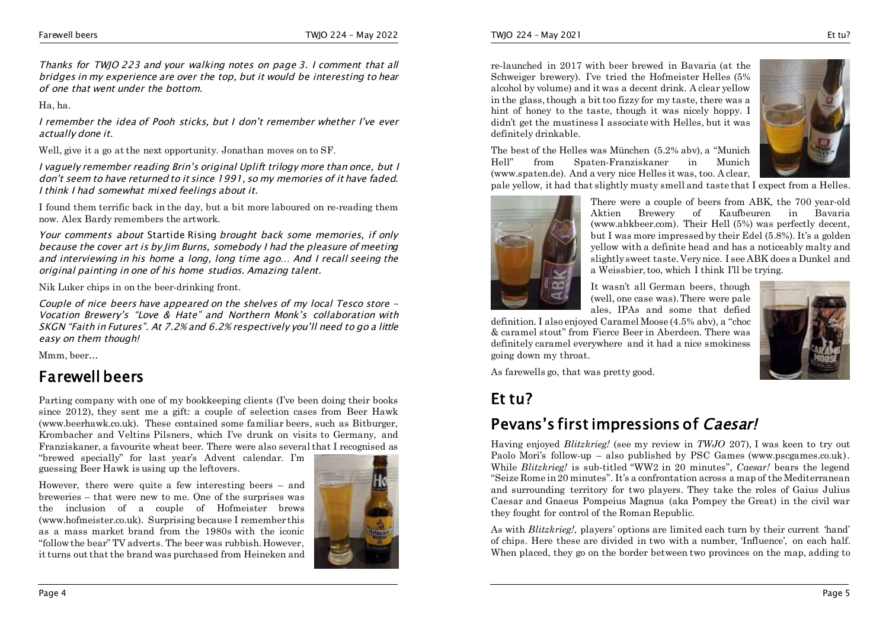*Thanks for TWJO 223 and your walking notes on page 3. I comment that all bridges in my experience are over the top, but it would be interesting to hear of one that went under the bottom.*

Ha, ha.

*I remember the idea of Pooh sticks, but I don't remember whether I've ever actually done it.*

Well, give it a go at the next opportunity. Jonathan moves on to SF.

*I vaguely remember reading Brin's original Uplift trilogy more than once, but I don't seem to have returned to it since 1991, so my memories of it have faded. I think I had somewhat mixed feelings about it.*

I found them terrific back in the day, but a bit more laboured on re-reading them now. Alex Bardy remembers the artwork.

*Your comments about* Startide Rising *brought back some memories, if only because the cover art is by Jim Burns, somebody I had the pleasure of meeting and interviewing in his home a long, long time ago… And I recall seeing the original painting in one of his home studios. Amazing talent.*

Nik Luker chips in on the beer-drinking front.

*Couple of nice beers have appeared on the shelves of my local Tesco store - Vocation Brewery's "Love & Hate" and Northern Monk's collaboration with SKGN "Faith in Futures". At 7.2% and 6.2% respectively you'll need to go a little easy on them though!*

Mmm, beer…

### **Farewell beers**

Parting company with one of my bookkeeping clients (I've been doing their books since 2012), they sent me a gift: a couple of selection cases from Beer Hawk (www.beerhawk.co.uk). These contained some familiar beers, such as Bitburger, Krombacher and Veltins Pilsners, which I've drunk on visits to Germany, and Franziskaner, a favourite wheat beer. There were also several that I recognised as

"brewed specially" for last year's Advent calendar. I'm guessing Beer Hawk is using up the leftovers.

However, there were quite a few interesting beers – and breweries – that were new to me. One of the surprises was the inclusion of a couple of Hofmeister brews (www.hofmeister.co.uk). Surprising because I remember this as a mass market brand from the 1980s with the iconic "follow the bear" TV adverts. The beer was rubbish. However, it turns out that the brand was purchased from Heineken and



re-launched in 2017 with beer brewed in Bavaria (at the Schweiger brewery). I've tried the Hofmeister Helles (5% alcohol by volume) and it was a decent drink. A clear yellow in the glass, though a bit too fizzy for my taste, there was a hint of honey to the taste, though it was nicely hoppy. I didn't get the mustiness I associate with Helles, but it was definitely drinkable.



The best of the Helles was München (5.2% abv), a "Munich Hell" from Spaten-Franziskaner in Munich (www.spaten.de). And a very nice Helles it was, too. A clear,

pale yellow, it had that slightly musty smell and taste that I expect from a Helles.



There were a couple of beers from ABK, the 700 year-old Aktien Brewery of Kaufbeuren in Bavaria (www.abkbeer.com). Their Hell (5%) was perfectly decent, but I was more impressed by their Edel (5.8%). It's a golden yellow with a definite head and has a noticeably malty and slightly sweet taste. Very nice. I see ABK does a Dunkel and a Weissbier, too, which I think I'll be trying.

It wasn't all German beers, though (well, one case was). There were pale ales, IPAs and some that defied

definition. I also enjoyed Caramel Moose (4.5% abv), a "choc & caramel stout" from Fierce Beer in Aberdeen. There was definitely caramel everywhere and it had a nice smokiness going down my throat.



As farewells go, that was pretty good.

### **Et tu?**

### **Pevans's first impressions of** *Caesar!*

Having enjoyed *Blitzkrieg!* (see my review in *TWJO* 207), I was keen to try out Paolo Mori's follow-up – also published by PSC Games (www.pscgames.co.uk). While *Blitzkrieg!* is sub-titled "WW2 in 20 minutes", *Caesar!* bears the legend "Seize Rome in 20 minutes". It's a confrontation across a map of the Mediterranean and surrounding territory for two players. They take the roles of Gaius Julius Caesar and Gnaeus Pompeius Magnus (aka Pompey the Great) in the civil war they fought for control of the Roman Republic.

As with *Blitzkrieg!*, players' options are limited each turn by their current 'hand' of chips. Here these are divided in two with a number, 'Influence', on each half. When placed, they go on the border between two provinces on the map, adding to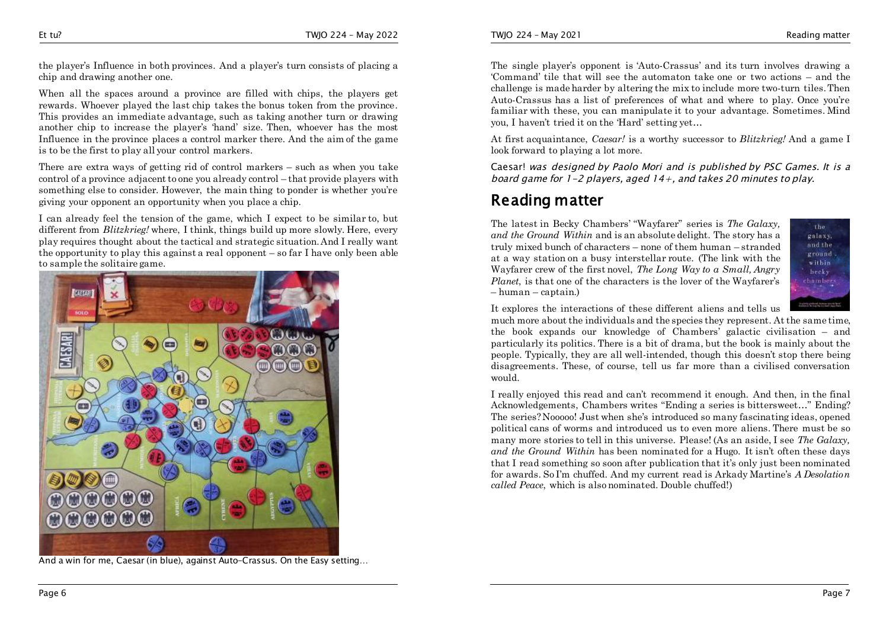the player's Influence in both provinces. And a player's turn consists of placing a chip and drawing another one.

When all the spaces around a province are filled with chips, the players get rewards. Whoever played the last chip takes the bonus token from the province. This provides an immediate advantage, such as taking another turn or drawing another chip to increase the player's 'hand' size. Then, whoever has the most Influence in the province places a control marker there. And the aim of the game is to be the first to play all your control markers.

There are extra ways of getting rid of control markers – such as when you take control of a province adjacent to one you already control – that provide players with something else to consider. However, the main thing to ponder is whether you're giving your opponent an opportunity when you place a chip.

I can already feel the tension of the game, which I expect to be similar to, but different from *Blitzkrieg!* where, I think, things build up more slowly. Here, every play requires thought about the tactical and strategic situation. And I really want the opportunity to play this against a real opponent – so far I have only been able to sample the solitaire game.



And a win for me, Caesar (in blue), against Auto-Crassus. On the Easy setting…

TWJO 224 – May 2021 Reading matter

The single player's opponent is 'Auto-Crassus' and its turn involves drawing a 'Command' tile that will see the automaton take one or two actions – and the challenge is made harder by altering the mix to include more two-turn tiles. Then Auto-Crassus has a list of preferences of what and where to play. Once you're familiar with these, you can manipulate it to your advantage. Sometimes. Mind you, I haven't tried it on the 'Hard' setting yet…

At first acquaintance, *Caesar!* is a worthy successor to *Blitzkrieg!* And a game I look forward to playing a lot more.

Caesar! *was designed by Paolo Mori and is published by PSC Games. It is a board game for 1-2 players, aged 14+, and takes 20 minutes to play.*

### **Reading matter**

The latest in Becky Chambers' "Wayfarer" series is *The Galaxy, and the Ground Within* and is an absolute delight. The story has a truly mixed bunch of characters – none of them human – stranded at a way station on a busy interstellar route. (The link with the Wayfarer crew of the first novel, *The Long Way to a Small, Angry Planet*, is that one of the characters is the lover of the Wayfarer's – human – captain.)



It explores the interactions of these different aliens and tells us

much more about the individuals and the species they represent. At the same time, the book expands our knowledge of Chambers' galactic civilisation – and particularly its politics. There is a bit of drama, but the book is mainly about the people. Typically, they are all well-intended, though this doesn't stop there being disagreements. These, of course, tell us far more than a civilised conversation would.

I really enjoyed this read and can't recommend it enough. And then, in the final Acknowledgements, Chambers writes "Ending a series is bittersweet…" Ending? The series? Nooooo! Just when she's introduced so many fascinating ideas, opened political cans of worms and introduced us to even more aliens. There must be so many more stories to tell in this universe. Please! (As an aside, I see *The Galaxy, and the Ground Within* has been nominated for a Hugo. It isn't often these days that I read something so soon after publication that it's only just been nominated for awards. So I'm chuffed. And my current read is Arkady Martine's *A Desolation called Peace*, which is also nominated. Double chuffed!)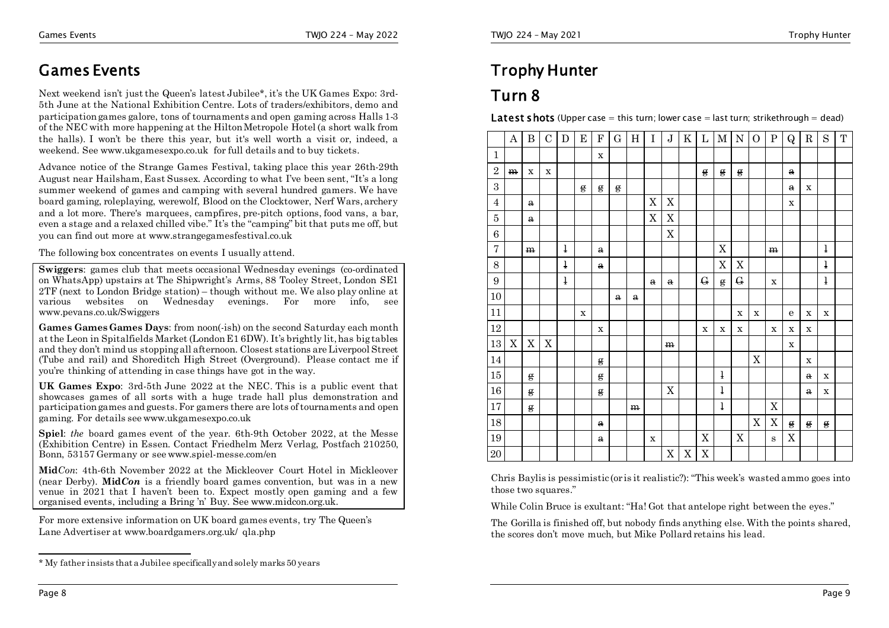### **Games Events**

Next weekend isn't just the Queen's latest Jubilee\*, it's the UK Games Expo: 3rd-5th June at the National Exhibition Centre. Lots of traders/exhibitors, demo and participation games galore, tons of tournaments and open gaming across Halls 1-3 of the NEC with more happening at the Hilton Metropole Hotel (a short walk from the halls). I won't be there this year, but it's well worth a visit or, indeed, a weekend. See www.ukgamesexpo.co.uk for full details and to buy tickets.

Advance notice of the Strange Games Festival, taking place this year 26th-29th August near Hailsham, East Sussex. According to what I've been sent, "It's a long summer weekend of games and camping with several hundred gamers. We have board gaming, roleplaying, werewolf, Blood on the Clocktower, Nerf Wars, archery and a lot more. There's marquees, campfires, pre-pitch options, food vans, a bar, even a stage and a relaxed chilled vibe." It's the "camping" bit that puts me off, but you can find out more at www.strangegamesfestival.co.uk

The following box concentrates on events I usually attend.

**Swiggers**: games club that meets occasional Wednesday evenings (co-ordinated) on WhatsApp) upstairs at The Shipwright's Arms, 88 Tooley Street, London SE1 2TF (next to London Bridge station) – though without me. We also play online at various websites on Wednesday evenings. For more info, see www.pevans.co.uk/Swiggers

**Games Games Games Days**: from noon(-ish) on the second Saturday each month at the Leon in Spitalfields Market (London E1 6DW). It's brightly lit, has big tables and they don't mind us stopping all afternoon. Closest stations are Liverpool Street (Tube and rail) and Shoreditch High Street (Overground). Please contact me if you're thinking of attending in case things have got in the way.

**UK Games Expo**: 3rd-5th June 2022 at the NEC. This is a public event that showcases games of all sorts with a huge trade hall plus demonstration and participation games and guests. For gamers there are lots of tournaments and open gaming. For details see www.ukgamesexpo.co.uk

**Spiel**: *the* board games event of the year. 6th-9th October 2022, at the Messe (Exhibition Centre) in Essen. Contact Friedhelm Merz Verlag, Postfach 210250, Bonn, 53157 Germany or see www.spiel-messe.com/en

**Mid***Con*: 4th-6th November 2022 at the Mickleover Court Hotel in Mickleover (near Derby). **Mid***Con* is a friendly board games convention, but was in a new venue in 2021 that I haven't been to. Expect mostly open gaming and a few organised events, including a Bring 'n' Buy. See www.midcon.org.uk.

For more extensive information on UK board games events, try The Queen's Lane Advertiser at www.boardgamers.org.uk/ qla.php

### **Trophy Hunter**

### **Turn 8**

**Latest shots** (Upper case = this turn; lower case = last turn; strikethrough = dead)

|                  | $\bf A$ | $\mathbf{B}$ | $\mathbf C$ | $\mathbf D$  | ${\bf E}$   | $\mathbf F$  | G            | H           | $\rm I$      | $\bf J$      | K           |              | $L$ M        | $N$ O       |                           | $\, {\bf P}$ | $\mathsf{Q}$ | $\mathbf R$  | $\mathbf S$  | $\mathbf T$ |
|------------------|---------|--------------|-------------|--------------|-------------|--------------|--------------|-------------|--------------|--------------|-------------|--------------|--------------|-------------|---------------------------|--------------|--------------|--------------|--------------|-------------|
| 1                |         |              |             |              |             | $\mathbf X$  |              |             |              |              |             |              |              |             |                           |              |              |              |              |             |
| $\overline{2}$   | m       | $\mathbf X$  | $\mathbf X$ |              |             |              |              |             |              |              |             | $\mathbf{g}$ | g            | g           |                           |              | $\mathbf{a}$ |              |              |             |
| 3                |         |              |             |              | g           | g            | $\mathbf{g}$ |             |              |              |             |              |              |             |                           |              | $\mathbf{a}$ | $\mathbf X$  |              |             |
| 4                |         | $\mathbf{a}$ |             |              |             |              |              |             | X            | X            |             |              |              |             |                           |              | $\mathbf X$  |              |              |             |
| $\overline{5}$   |         | $\mathbf a$  |             |              |             |              |              |             | $\mathbf X$  | X            |             |              |              |             |                           |              |              |              |              |             |
| 6                |         |              |             |              |             |              |              |             |              | $\mathbf X$  |             |              |              |             |                           |              |              |              |              |             |
| 7                |         | m            |             | $\mathbf{1}$ |             | $\mathbf{a}$ |              |             |              |              |             |              | $\mathbf X$  |             |                           | m            |              |              | ł            |             |
| 8                |         |              |             | ł            |             | $\mathbf{a}$ |              |             |              |              |             |              | $\mathbf X$  | X           |                           |              |              |              | ł            |             |
| $\boldsymbol{9}$ |         |              |             | ł            |             |              |              |             | $\mathbf{a}$ | $\mathbf{a}$ |             | $\mathbf{G}$ | $\mathbf{g}$ | ${\bf G}$   |                           | $\mathbf X$  |              |              | ł            |             |
| 10               |         |              |             |              |             |              | $\mathbf{a}$ | $\mathbf a$ |              |              |             |              |              |             |                           |              |              |              |              |             |
| 11               |         |              |             |              | $\mathbf X$ |              |              |             |              |              |             |              |              | $\mathbf X$ | $\mathbf X$               |              | e            | $\mathbf x$  | $\mathbf X$  |             |
| 12               |         |              |             |              |             | $\mathbf X$  |              |             |              |              |             | $\mathbf X$  | $\mathbf X$  | $\mathbf X$ |                           | $\mathbf X$  | $\mathbf X$  | $\mathbf x$  |              |             |
| 13               | X       | X            | $\mathbf X$ |              |             |              |              |             |              | m            |             |              |              |             |                           |              | $\mathbf X$  |              |              |             |
| 14               |         |              |             |              |             | $\mathbf{g}$ |              |             |              |              |             |              |              |             | $\boldsymbol{\mathrm{X}}$ |              |              | $\mathbf X$  |              |             |
| $15\,$           |         | $\mathbf{g}$ |             |              |             | $\mathbf{g}$ |              |             |              |              |             |              | $\mathbf{l}$ |             |                           |              |              | $\mathbf{a}$ | $\mathbf X$  |             |
| $16\,$           |         | $\mathbf{g}$ |             |              |             | $\mathbf{g}$ |              |             |              | X            |             |              | $\mathbf{l}$ |             |                           |              |              | $\mathbf{a}$ | $\mathbf X$  |             |
| 17               |         | $\mathbf{g}$ |             |              |             |              |              | m           |              |              |             |              | $\mathbf{l}$ |             |                           | $\mathbf X$  |              |              |              |             |
| 18               |         |              |             |              |             | $\mathbf{a}$ |              |             |              |              |             |              |              |             | X                         | X            | $\mathbf{g}$ | g            | $\mathbf{g}$ |             |
| 19               |         |              |             |              |             | $\mathbf a$  |              |             | $\mathbf X$  |              |             | $\mathbf X$  |              | $\mathbf X$ |                           | $\mathbf{s}$ | $\mathbf X$  |              |              |             |
| $20\,$           |         |              |             |              |             |              |              |             |              | $\mathbf X$  | $\mathbf X$ | $\mathbf X$  |              |             |                           |              |              |              |              |             |

Chris Baylis is pessimistic (or is it realistic?): "This week's wasted ammo goes into those two squares."

While Colin Bruce is exultant: "Ha! Got that antelope right between the eyes."

The Gorilla is finished off, but nobody finds anything else. With the points shared, the scores don't move much, but Mike Pollard retains his lead.

<sup>\*</sup> My father insists that a Jubilee specifically and solely marks 50 years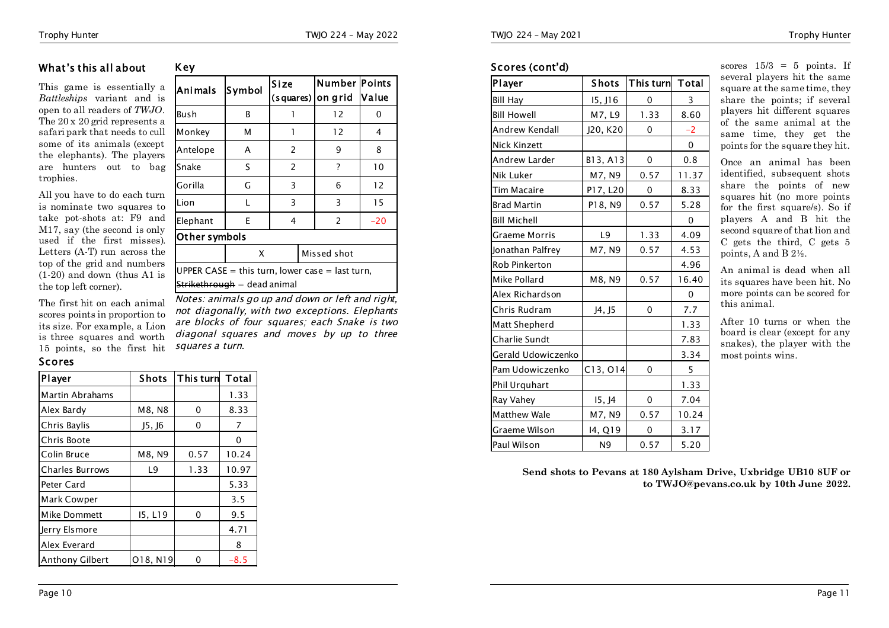#### **What's this all about**

**Key** 

This game is essentially a *Battleships* variant and is open to all readers of *TWJO*. The 20 x 20 grid represents a safari park that needs to cull some of its animals (except the elephants). The players are hunters out to bag trophies.

All you have to do each turn is nominate two squares to take pot-shots at: F9 and M17, say (the second is only used if the first misses). Letters (A-T) run across the top of the grid and numbers (1-20) and down (thus A1 is the top left corner).

The first hit on each animal scores points in proportion to its size. For example, a Lion is three squares and  $15$  points, so the fi

#### **Scores**

| Player                 | <b>Shots</b> | This turn | Total |
|------------------------|--------------|-----------|-------|
| Martin Abrahams        |              |           | 1.33  |
| Alex Bardy             | M8, N8       | 0         | 8.33  |
| Chris Baylis           | J5, J6       | 0         | 7     |
| Chris Boote            |              |           | 0     |
| Colin Bruce            | M8, N9       | 0.57      | 10.24 |
| <b>Charles Burrows</b> | L9           | 1.33      | 10.97 |
| Peter Card             |              |           | 5.33  |
| Mark Cowper            |              |           | 3.5   |
| Mike Dommett           | 15, L19      | 0         | 9.5   |
| Jerry Elsmore          |              |           | 4.71  |
| Alex Everard           |              |           | 8     |
| <b>Anthony Gilbert</b> | O18, N19     | ი         | -8.5  |

| . а шон<br>l worth<br>rst hit | diagonal squares and<br>squares a turn. |       |  |
|-------------------------------|-----------------------------------------|-------|--|
| Shots                         | This turn Total                         |       |  |
|                               |                                         | 1.33  |  |
| M8, N8                        | 0                                       | 8.33  |  |
| J5, J6                        | 0                                       | 7     |  |
|                               |                                         | 0     |  |
| M8, N9                        | 0.57                                    | 10.24 |  |
| L9                            | 1.33                                    | 10.97 |  |

| Animals       | Symbol | Size<br>$(squares)$ on grid | Number  Points | <b>Value</b> |
|---------------|--------|-----------------------------|----------------|--------------|
| Bush          | B      |                             | 12             |              |
| Monkey        | М      |                             | 12             | 4            |
| Antelope      | А      | 2                           | 9              | 8            |
| Snake         | S      | 2                           | 7              | 10           |
| Gorilla       | G      | 3                           | 6              | 12           |
| Lion          |        | 3                           | 3              | 15           |
| Elephant      | E      | 4                           | 2              | $-20$        |
| Other symbols |        |                             |                |              |

**Size** 

X Missed shot UPPER  $CASE = this turn, lower case = last turn,$  $\mathsf{Striketh}$ rough = dead animal *Notes: animals go up and down or left and right,* 

*not diagonally, with two exceptions. Elephants are blocks of four squares; each Snake is two*  moves by up to three

#### **Scores (cont'd)**

| Player               | <b>Shots</b>          | This turn | <b>Total</b> |
|----------------------|-----------------------|-----------|--------------|
| <b>Bill Hay</b>      | 15, J16               | 0         | 3            |
| <b>Bill Howell</b>   | M7, L9                | 1.33      | 8.60         |
| Andrew Kendall       | J20, K20              | 0         | $-2$         |
| <b>Nick Kinzett</b>  |                       |           | 0            |
| Andrew Larder        | B13, A13              | 0         | 0.8          |
| Nik Luker            | M7, N9                | 0.57      | 11.37        |
| Tim Macaire          | P17, L20              | 0         | 8.33         |
| <b>Brad Martin</b>   | P18, N9               | 0.57      | 5.28         |
| <b>Bill Michell</b>  |                       |           | $\mathbf 0$  |
| <b>Graeme Morris</b> | L9                    | 1.33      | 4.09         |
| Jonathan Palfrey     | M7, N9                | 0.57      | 4.53         |
| Rob Pinkerton        |                       |           | 4.96         |
| Mike Pollard         | M8, N9                | 0.57      | 16.40        |
| Alex Richardson      |                       |           | 0            |
| Chris Rudram         | J4, J5                | $\Omega$  | 7.7          |
| Matt Shepherd        |                       |           | 1.33         |
| Charlie Sundt        |                       |           | 7.83         |
| Gerald Udowiczenko   |                       |           | 3.34         |
| Pam Udowiczenko      | C <sub>13</sub> , 014 | 0         | 5            |
| Phil Urquhart        |                       |           | 1.33         |
| Ray Vahey            | 15, J4                | 0         | 7.04         |
| <b>Matthew Wale</b>  | M7, N9                | 0.57      | 10.24        |
| Graeme Wilson        | 14, Q19               | 0         | 3.17         |
| Paul Wilson          | N9                    | 0.57      | 5.20         |

scores  $15/3 = 5$  points. If several players hit the same square at the same time, they share the points; if several players hit different squares of the same animal at the same time, they get the points for the square they hit.

Once an animal has been identified, subsequent shots share the points of new squares hit (no more points for the first square/s). So if players A and B hit the second square of that lion and C gets the third, C gets 5 points, A and B 2½.

An animal is dead when all its squares have been hit. No more points can be scored for this animal.

After 10 turns or when the board is clear (except for any snakes), the player with the most points wins.

**Send shots to Pevans at 180 Aylsham Drive, Uxbridge UB10 8UF or to TWJO@pevans.co.uk by 10th June 2022.**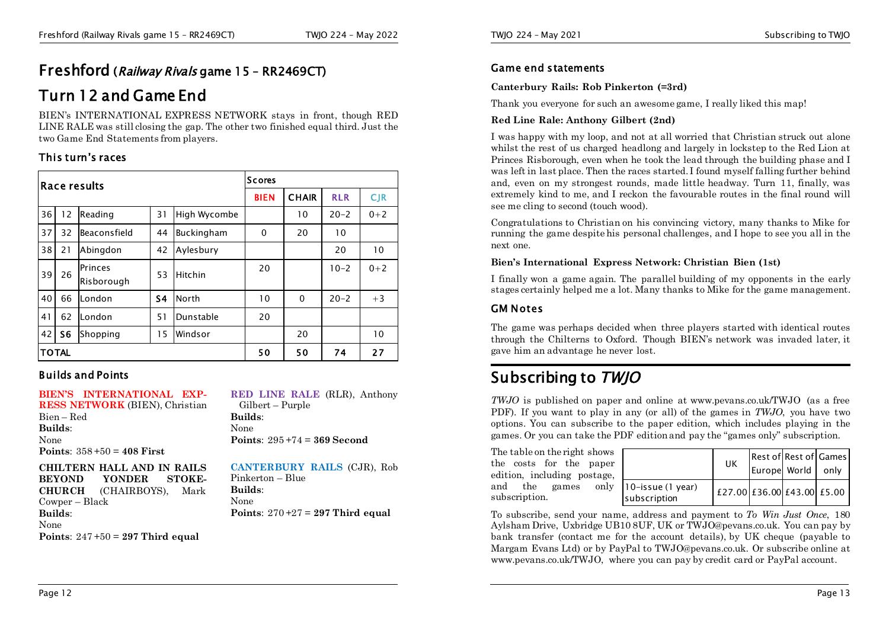### **Freshford (***Railway Rivals* **game 15 – RR2469CT)**

### **Turn 12 and Game End**

BIEN's INTERNATIONAL EXPRESS NETWORK stays in front, though RED LINE RALE was still closing the gap. The other two finished equal third. Just the two Game End Statements from players.

#### **This turn's races**

|                                                   | Race results |                       |                |              |              | Scores       |            |         |  |  |
|---------------------------------------------------|--------------|-----------------------|----------------|--------------|--------------|--------------|------------|---------|--|--|
|                                                   |              |                       |                | <b>BIEN</b>  | <b>CHAIR</b> | <b>RLR</b>   | <b>CJR</b> |         |  |  |
| 36                                                | 12           | Reading               | 31             | High Wycombe |              | 10           | $20 - 2$   | $0 + 2$ |  |  |
| 37                                                | 32           | Beaconsfield          | 44             | Buckingham   | 0            | 20           | 10         |         |  |  |
| 38                                                | 21           | Abingdon              | 42             | Aylesbury    |              |              | 20         | 10      |  |  |
| 39                                                | 26           | Princes<br>Risborough | 53             | Hitchin      | 20           |              | $10-2$     | $0 + 2$ |  |  |
| 40                                                | 66           | London                | S <sub>4</sub> | North        | 10           | $\mathbf{0}$ | $20 - 2$   | $+3$    |  |  |
| 41                                                | 62           | London                | 51             | Dunstable    | 20           |              |            |         |  |  |
| 42<br>S <sub>6</sub><br>15<br>Windsor<br>Shopping |              |                       |                |              | 20           |              | 10         |         |  |  |
|                                                   | <b>TOTAL</b> |                       |                | 50           | 50           | 74           | 27         |         |  |  |

#### **Builds and Points**

**BIEN'S INTERNATIONAL EXP-RESS NETWORK** (BIEN), Christian Bien – Red **Builds**: None **Points**: 358 +50 = **408 First CHILTERN HALL AND IN RAILS BEYOND YONDER STOKE-CHURCH** (CHAIRBOYS), Mark Cowper – Black **Builds**: Gilbert – Purple **Builds**: None Pinkerton – Blue **Builds**: None

None **Points**: 247 +50 = **297 Third equal** **RED LINE RALE** (RLR), Anthony **Points**: 295 +74 = **369 Second**

**CANTERBURY RAILS** (CJR), Rob **Points**: 270 +27 = **297 Third equal**

#### **Game end statements**

#### **Canterbury Rails: Rob Pinkerton (=3rd)**

Thank you everyone for such an awesome game, I really liked this map!

#### **Red Line Rale: Anthony Gilbert (2nd)**

I was happy with my loop, and not at all worried that Christian struck out alone whilst the rest of us charged headlong and largely in lockstep to the Red Lion at Princes Risborough, even when he took the lead through the building phase and I was left in last place. Then the races started. I found myself falling further behind and, even on my strongest rounds, made little headway. Turn 11, finally, was extremely kind to me, and I reckon the favourable routes in the final round will see me cling to second (touch wood).

Congratulations to Christian on his convincing victory, many thanks to Mike for running the game despite his personal challenges, and I hope to see you all in the next one.

#### **Bien's International Express Network: Christian Bien (1st)**

I finally won a game again. The parallel building of my opponents in the early stages certainly helped me a lot. Many thanks to Mike for the game management.

#### **GM Notes**

The game was perhaps decided when three players started with identical routes through the Chilterns to Oxford. Though BIEN's network was invaded later, it gave him an advantage he never lost.

### **Subscribing to** *TWJO*

*TWJO* is published on paper and online at www.pevans.co.uk/TWJO (as a free PDF). If you want to play in any (or all) of the games in *TWJO*, you have two options. You can subscribe to the paper edition, which includes playing in the games. Or you can take the PDF edition and pay the "games only" subscription.

The table on the right shows the costs for the paper edition, including postage, and the games only subscription.

|                                      | UK                         | Rest of Rest of Games<br>Europe World | only |
|--------------------------------------|----------------------------|---------------------------------------|------|
| $10$ -issue (1 year)<br>subscription | £27.00 £36.00 £43.00 £5.00 |                                       |      |

To subscribe, send your name, address and payment to *To Win Just Once*, 180 Aylsham Drive, Uxbridge UB10 8UF, UK or TWJO@pevans.co.uk. You can pay by bank transfer (contact me for the account details), by UK cheque (payable to Margam Evans Ltd) or by PayPal to TWJO@pevans.co.uk. Or subscribe online at www.pevans.co.uk/TWJO, where you can pay by credit card or PayPal account.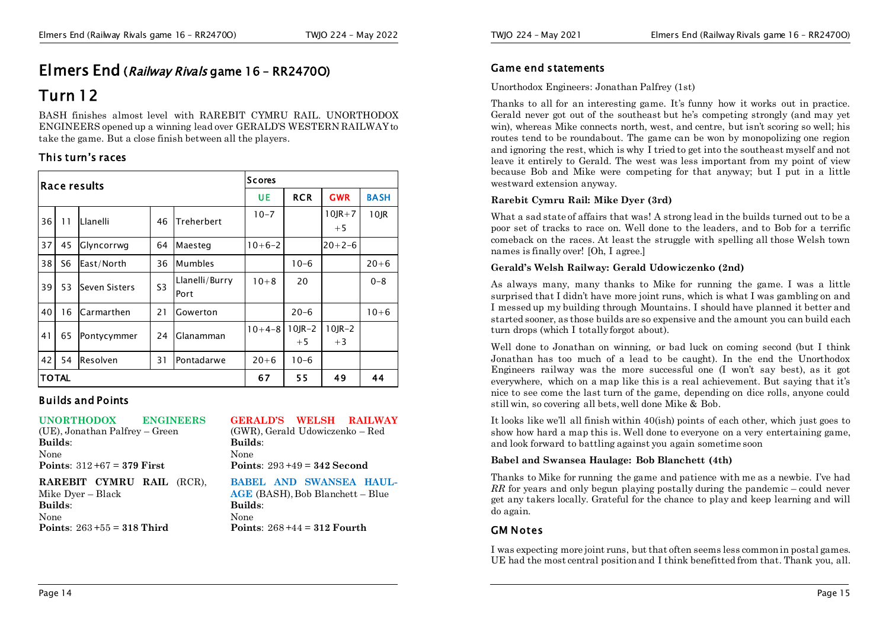# **Elmers End (***Railway Rivals* **game 16 – RR2470O)**

### **Turn 12**

BASH finishes almost level with RAREBIT CYMRU RAIL. UNORTHODOX ENGINEERS opened up a winning lead over GERALD'S WESTERN RAILWAY to take the game. But a close finish between all the players.

#### **This turn's races**

|    | lRace results |               |                |                        |          | Scores               |                      |             |  |
|----|---------------|---------------|----------------|------------------------|----------|----------------------|----------------------|-------------|--|
|    |               |               |                |                        | UE       | <b>RCR</b>           | <b>GWR</b>           | <b>BASH</b> |  |
| 36 | 11            | Llanelli      | 46             | Treherbert             | $10 - 7$ |                      | $10$ JR $+7$<br>$+5$ | 10JR        |  |
| 37 | 45            | Glyncorrwg    | 64             | Maesteg                | $10+6-2$ |                      | $20+2-6$             |             |  |
| 38 | S6            | East/North    | 36             | Mumbles                |          | $10-6$               |                      | $20 + 6$    |  |
| 39 | 53            | Seven Sisters | S <sub>3</sub> | Llanelli/Burry<br>Port | $10 + 8$ | 20                   |                      | $0 - 8$     |  |
| 40 | 16            | Carmarthen    | 21             | Gowerton               |          | $20 - 6$             |                      | $10 + 6$    |  |
| 41 | 65            | Pontycymmer   | 24             | Glanamman              | $10+4-8$ | $10$ JR $-2$<br>$+5$ | $10$ JR $-2$<br>$+3$ |             |  |
| 42 | 54            | Resolven      | 31             | Pontadarwe             | $20 + 6$ | $10-6$               |                      |             |  |
|    | <b>TOTAL</b>  |               |                | 67                     | 55       | 49                   | 44                   |             |  |

#### **Builds and Points**

#### **UNORTHODOX ENGINEERS**

(UE), Jonathan Palfrey – Green **Builds**: None **Points**: 312 +67 = **379 First**

**Points**: 263 +55 = **318 Third**

**GERALD'S WELSH RAILWAY** (GWR), Gerald Udowiczenko – Red

**Builds**: None **Points**: 293 +49 = **342 Second**

**BABEL AND SWANSEA HAUL-AGE** (BASH), Bob Blanchett – Blue

#### **RAREBIT CYMRU RAIL** (RCR), Mike Dyer – Black **Builds**: None

None **Points**: 268 +44 = **312 Fourth**

**Builds**:

#### **Game end statements**

#### Unorthodox Engineers: Jonathan Palfrey (1st)

Thanks to all for an interesting game. It's funny how it works out in practice. Gerald never got out of the southeast but he's competing strongly (and may yet win), whereas Mike connects north, west, and centre, but isn't scoring so well; his routes tend to be roundabout. The game can be won by monopolizing one region and ignoring the rest, which is why I tried to get into the southeast myself and not leave it entirely to Gerald. The west was less important from my point of view because Bob and Mike were competing for that anyway; but I put in a little westward extension anyway.

#### **Rarebit Cymru Rail: Mike Dyer (3rd)**

What a sad state of affairs that was! A strong lead in the builds turned out to be a poor set of tracks to race on. Well done to the leaders, and to Bob for a terrific comeback on the races. At least the struggle with spelling all those Welsh town names is finally over! [Oh, I agree.]

#### **Gerald's Welsh Railway: Gerald Udowiczenko (2nd)**

As always many, many thanks to Mike for running the game. I was a little surprised that I didn't have more joint runs, which is what I was gambling on and I messed up my building through Mountains. I should have planned it better and started sooner, as those builds are so expensive and the amount you can build each turn drops (which I totally forgot about).

Well done to Jonathan on winning, or bad luck on coming second (but I think Jonathan has too much of a lead to be caught). In the end the Unorthodox Engineers railway was the more successful one (I won't say best), as it got everywhere, which on a map like this is a real achievement. But saying that it's nice to see come the last turn of the game, depending on dice rolls, anyone could still win, so covering all bets, well done Mike & Bob.

It looks like we'll all finish within 40(ish) points of each other, which just goes to show how hard a map this is. Well done to everyone on a very entertaining game, and look forward to battling against you again sometime soon

#### **Babel and Swansea Haulage: Bob Blanchett (4th)**

Thanks to Mike for running the game and patience with me as a newbie. I've had *RR* for years and only begun playing postally during the pandemic – could never get any takers locally. Grateful for the chance to play and keep learning and will do again.

#### **GM Notes**

I was expecting more joint runs, but that often seems less common in postal games. UE had the most central position and I think benefitted from that. Thank you, all.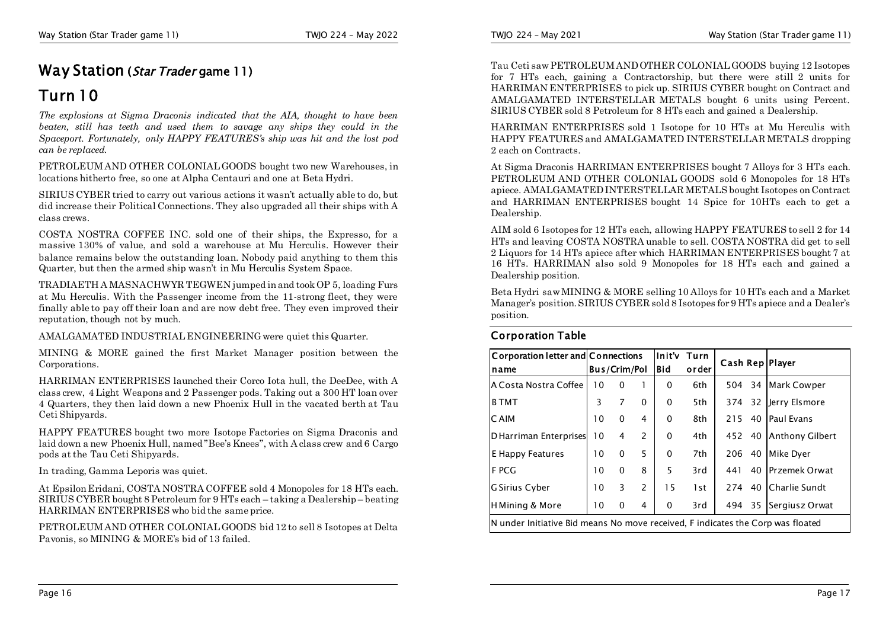## **Way Station (***Star Trader* **game 11)**

### **Turn 10**

*The explosions at Sigma Draconis indicated that the AIA, thought to have been beaten, still has teeth and used them to savage any ships they could in the Spaceport. Fortunately, only HAPPY FEATURES's ship was hit and the lost pod can be replaced.*

PETROLEUM AND OTHER COLONIAL GOODS bought two new Warehouses, in locations hitherto free, so one at Alpha Centauri and one at Beta Hydri.

SIRIUS CYBER tried to carry out various actions it wasn't actually able to do, but did increase their Political Connections. They also upgraded all their ships with A class crews.

COSTA NOSTRA COFFEE INC. sold one of their ships, the Expresso, for a massive 130% of value, and sold a warehouse at Mu Herculis. However their balance remains below the outstanding loan. Nobody paid anything to them this Quarter, but then the armed ship wasn't in Mu Herculis System Space.

TRADIAETH A MASNACHWYR TEGWEN jumped in and took OP 5, loading Furs at Mu Herculis. With the Passenger income from the 11-strong fleet, they were finally able to pay off their loan and are now debt free. They even improved their reputation, though not by much.

AMALGAMATED INDUSTRIAL ENGINEERING were quiet this Quarter.

MINING & MORE gained the first Market Manager position between the Corporations.

HARRIMAN ENTERPRISES launched their Corco Iota hull, the DeeDee, with A class crew, 4 Light Weapons and 2 Passenger pods. Taking out a 300 HT loan over 4 Quarters, they then laid down a new Phoenix Hull in the vacated berth at Tau Ceti Shipyards.

HAPPY FEATURES bought two more Isotope Factories on Sigma Draconis and laid down a new Phoenix Hull, named "Bee's Knees", with A class crew and 6 Cargo pods at the Tau Ceti Shipyards.

In trading, Gamma Leporis was quiet.

At Epsilon Eridani, COSTA NOSTRA COFFEE sold 4 Monopoles for 18 HTs each. SIRIUS CYBER bought 8 Petroleum for 9 HTs each – taking a Dealership – beating HARRIMAN ENTERPRISES who bid the same price.

PETROLEUM AND OTHER COLONIAL GOODS bid 12 to sell 8 Isotopes at Delta Pavonis, so MINING & MORE's bid of 13 failed.

Tau Ceti saw PETROLEUM AND OTHER COLONIAL GOODS buying 12 Isotopes for 7 HTs each, gaining a Contractorship, but there were still 2 units for HARRIMAN ENTERPRISES to pick up. SIRIUS CYBER bought on Contract and AMALGAMATED INTERSTELLAR METALS bought 6 units using Percent. SIRIUS CYBER sold 8 Petroleum for 8 HTs each and gained a Dealership.

HARRIMAN ENTERPRISES sold 1 Isotope for 10 HTs at Mu Herculis with HAPPY FEATURES and AMALGAMATED INTERSTELLAR METALS dropping 2 each on Contracts.

At Sigma Draconis HARRIMAN ENTERPRISES bought 7 Alloys for 3 HTs each. PETROLEUM AND OTHER COLONIAL GOODS sold 6 Monopoles for 18 HTs apiece. AMALGAMATED INTERSTELLAR METALS bought Isotopes on Contract and HARRIMAN ENTERPRISES bought 14 Spice for 10HTs each to get a Dealership.

AIM sold 6 Isotopes for 12 HTs each, allowing HAPPY FEATURES to sell 2 for 14 HTs and leaving COSTA NOSTRA unable to sell. COSTA NOSTRA did get to sell 2 Liquors for 14 HTs apiece after which HARRIMAN ENTERPRISES bought 7 at 16 HTs. HARRIMAN also sold 9 Monopoles for 18 HTs each and gained a Dealership position.

Beta Hydri saw MINING & MORE selling 10 Alloys for 10 HTs each and a Market Manager's position. SIRIUS CYBER sold 8 Isotopes for 9 HTs apiece and a Dealer's position.

#### **Corporation Table**

| Corporation letter and Connections<br>name                                      | <b>Bus/Crim/Pol</b> |          |               | linit'v Turn<br><b>Bid</b> | order | Cash Rep   Player |    |                      |
|---------------------------------------------------------------------------------|---------------------|----------|---------------|----------------------------|-------|-------------------|----|----------------------|
| A Costa Nostra Coffee                                                           | 10                  | $\Omega$ | 1             | 0                          | 6th   |                   |    | 504 34 Mark Cowper   |
| <b>B</b> TMT                                                                    | 3                   | 7        | 0             | $\mathbf{0}$               | 5th   |                   |    | 374 32 Jerry Elsmore |
| C AIM                                                                           | 10                  | $\Omega$ | 4             | $\Omega$                   | 8th   | 215 40            |    | <b>Paul Evans</b>    |
| D Harriman Enterprises                                                          | 10                  | 4        | 2             | $\Omega$                   | 4th   | 452               |    | 40 Anthony Gilbert   |
| E Happy Features                                                                | 10                  | $\Omega$ | 5             | $\Omega$                   | 7th   | 206 40            |    | Mike Dyer            |
| <b>FPCG</b>                                                                     | 10                  | $\Omega$ | 8             | 5                          | 3rd   | 441               |    | 40 Przemek Orwat     |
| <b>G Sirius Cyber</b>                                                           | 10                  | 3        | $\mathcal{P}$ | 15                         | 1st.  |                   |    | 274 40 Charlie Sundt |
| H Mining & More                                                                 | 10                  | 0        | 4             | 0                          | 3rd   | 494               | 35 | Sergiusz Orwat       |
| N under Initiative Bid means No move received. F indicates the Corp was floated |                     |          |               |                            |       |                   |    |                      |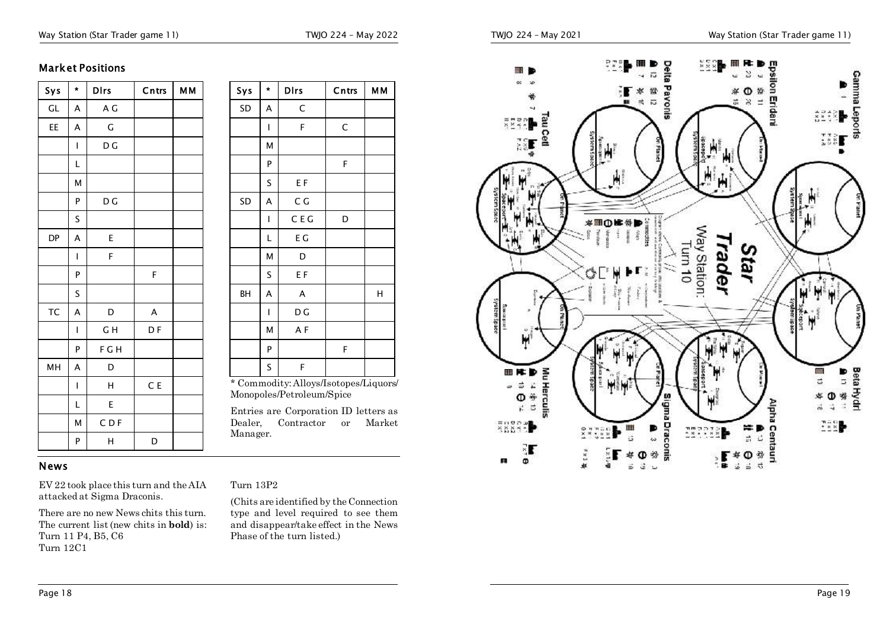#### Way Station (Star Trader game 11) TWJO 224 - May 2022

#### **Market Positions**

| Sys | $\star$ | <b>D</b> Irs | Cntrs | <b>MM</b> |
|-----|---------|--------------|-------|-----------|
| GL  | A       | A G          |       |           |
| EE  | A       | G            |       |           |
|     | Ī       | D G          |       |           |
|     | L       |              |       |           |
|     | M       |              |       |           |
|     | P       | D G          |       |           |
|     | S       |              |       |           |
| DP  | A       | E            |       |           |
|     | I       | F            |       |           |
|     | P       |              | F     |           |
|     | S       |              |       |           |
| TC  | A       | D            | A     |           |
|     | I       | GH           | D F   |           |
|     | P       | F G H        |       |           |
| MH  | A       | D            |       |           |
|     | I       | Н            | C E   |           |
|     | L       | E            |       |           |
|     | M       | CDF          |       |           |
|     | P       | Н            | D     |           |

| Sys  | ×  | Dirs                                                                 | Cntrs  | MМ |
|------|----|----------------------------------------------------------------------|--------|----|
| SD   | А  | C                                                                    |        |    |
|      | I  | F                                                                    | C      |    |
|      | Μ  |                                                                      |        |    |
|      | P  |                                                                      | F      |    |
|      | S  | ΕF                                                                   |        |    |
| SD   | A  | C G                                                                  |        |    |
|      | I  | C E G                                                                | D      |    |
|      | L  | ΕG                                                                   |        |    |
|      | М  | D                                                                    |        |    |
|      | S  | E F                                                                  |        |    |
| BН   | A  | A                                                                    |        | Н  |
|      | I  | D G                                                                  |        |    |
|      | Μ  | AF                                                                   |        |    |
|      | P  |                                                                      | F      |    |
|      | S  | F                                                                    |        |    |
| ъ г. | п. | * Commodity: Alloys/Isotopes/Liquors/<br>$\mathbf{m}$ , $\mathbf{1}$ | $\sim$ |    |

Monopoles/Petroleum/Spice

Entries are Corporation ID letters as Dealer, Contractor or Market Manager.

#### **News**

EV 22 took place this turn and the AIA attacked at Sigma Draconis.

There are no new News chits this turn. The current list (new chits in **bold**) is: Turn 11 P4, B5, C6 Turn 12C1

#### Turn 13P2

(Chits are identified by the Connection type and level required to see them and disappear/take effect in the News Phase of the turn listed.)

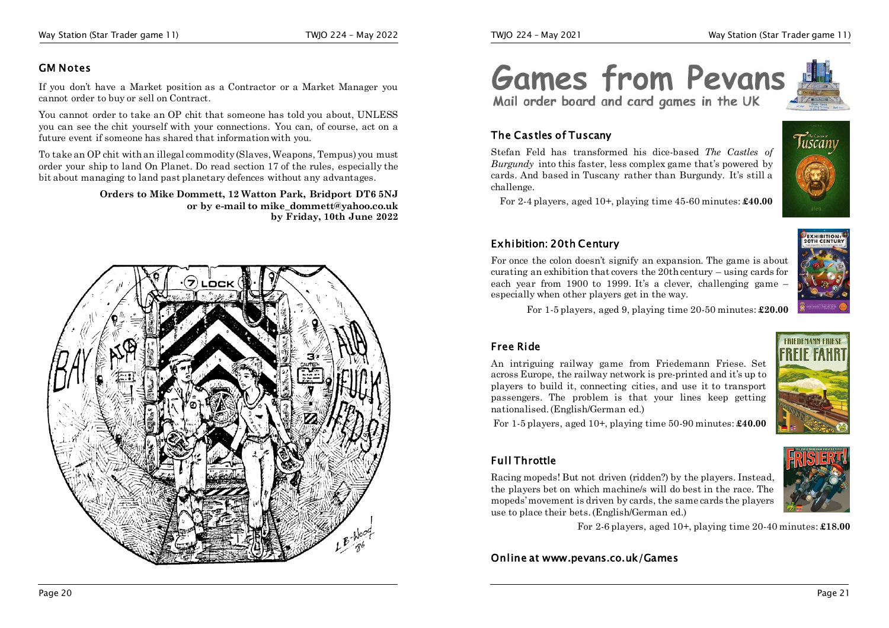#### **GM Notes**

If you don't have a Market position as a Contractor or a Market Manager you cannot order to buy or sell on Contract.

You cannot order to take an OP chit that someone has told you about, UNLESS you can see the chit yourself with your connections. You can, of course, act on a future event if someone has shared that information with you.

To take an OP chit with an illegal commodity (Slaves, Weapons, Tempus) you must order your ship to land On Planet. Do read section 17 of the rules, especially the bit about managing to land past planetary defences without any advantages.

> **Orders to Mike Dommett, 12 Watton Park, Bridport DT6 5NJ or by e-mail to mike\_dommett@yahoo.co.uk by Friday, 10th June 2022**



**Games from Pevans** Mail order board and card games in the UK

#### **The Castles of Tuscany**

Stefan Feld has transformed his dice-based *The Castles of Burgundy* into this faster, less complex game that's powered by cards. And based in Tuscany rather than Burgundy. It's still a challenge.



For 2-4 players, aged 10+, playing time 45-60 minutes: **£40.00**

#### **Exhibition: 20th Century**

For once the colon doesn't signify an expansion. The game is about curating an exhibition that covers the 20th century – using cards for each year from 1900 to 1999. It's a clever, challenging game especially when other players get in the way.

For 1-5 players, aged 9, playing time 20-50 minutes: **£20.00**

#### **Free Ride**

An intriguing railway game from Friedemann Friese. Set across Europe, the railway network is pre-printed and it's up to players to build it, connecting cities, and use it to transport passengers. The problem is that your lines keep getting nationalised. (English/German ed.)



For 1-5 players, aged 10+, playing time 50-90 minutes: **£40.00**

#### **Full Throttle**

Racing mopeds! But not driven (ridden?) by the players. Instead, the players bet on which machine/s will do best in the race. The mopeds'movement is driven by cards, the same cards the players use to place their bets.(English/German ed.)

For 2-6 players, aged 10+, playing time 20-40 minutes: **£18.00**

**Online at www.pevans.co.uk/Games** 



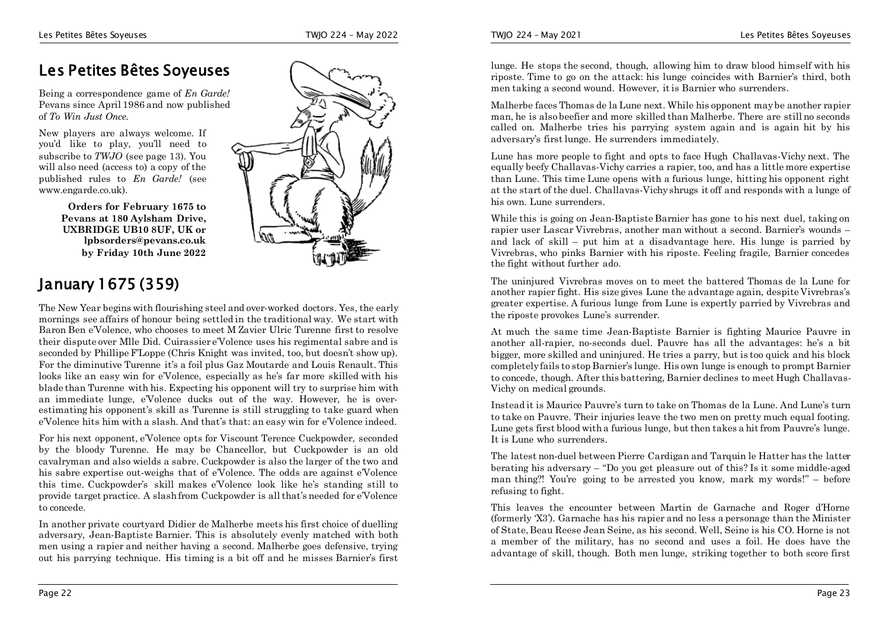### **Les Petites Bêtes Soyeuses**

Being a correspondence game of *En Garde!* Pevans since  $\overline{A}$ pril 1986 and now published of *To Win Just Once*.

New players are always welcome. If you'd like to play, you'll need to subscribe to *TWJO* (see page 13). You will also need (access to) a copy of the published rules to *En Garde!* (see www.engarde.co.uk).

> **Orders for February 1675 to Pevans at 180 Aylsham Drive, UXBRIDGE UB10 8UF, UK or lpbsorders@pevans.co.uk by Friday 10th June 2022**

### **January 1675 (359)**

The New Year begins with flourishing steel and over-worked doctors. Yes, the early mornings see affairs of honour being settled in the traditional way. We start with Baron Ben e'Volence, who chooses to meet M Zavier Ulric Turenne first to resolve their dispute over Mlle Did. Cuirassier e'Volence uses his regimental sabre and is seconded by Phillipe F'Loppe (Chris Knight was invited, too, but doesn't show up). For the diminutive Turenne it's a foil plus Gaz Moutarde and Louis Renault. This looks like an easy win for e'Volence, especially as he's far more skilled with his blade than Turenne with his. Expecting his opponent will try to surprise him with an immediate lunge, e'Volence ducks out of the way. However, he is overestimating his opponent's skill as Turenne is still struggling to take guard when e'Volence hits him with a slash. And that's that: an easy win for e'Volence indeed.

For his next opponent, e'Volence opts for Viscount Terence Cuckpowder, seconded by the bloody Turenne. He may be Chancellor, but Cuckpowder is an old cavalryman and also wields a sabre. Cuckpowder is also the larger of the two and his sabre expertise out-weighs that of e'Volence. The odds are against e'Volence this time. Cuckpowder's skill makes e'Volence look like he's standing still to provide target practice. A slash from Cuckpowder is all that's needed for e'Volence to concede.

In another private courtyard Didier de Malherbe meets his first choice of duelling adversary, Jean-Baptiste Barnier. This is absolutely evenly matched with both men using a rapier and neither having a second. Malherbe goes defensive, trying out his parrying technique. His timing is a bit off and he misses Barnier's first



lunge. He stops the second, though, allowing him to draw blood himself with his riposte. Time to go on the attack: his lunge coincides with Barnier's third, both men taking a second wound. However, it is Barnier who surrenders.

Malherbe faces Thomas de la Lune next. While his opponent may be another rapier man, he is also beefier and more skilled than Malherbe. There are still no seconds called on. Malherbe tries his parrying system again and is again hit by his adversary's first lunge. He surrenders immediately.

Lune has more people to fight and opts to face Hugh Challavas-Vichy next. The equally beefy Challavas-Vichy carries a rapier, too, and has a little more expertise than Lune. This time Lune opens with a furious lunge, hitting his opponent right at the start of the duel. Challavas-Vichy shrugs it off and responds with a lunge of his own. Lune surrenders.

While this is going on Jean-Baptiste Barnier has gone to his next duel, taking on rapier user Lascar Vivrebras, another man without a second. Barnier's wounds – and lack of skill – put him at a disadvantage here. His lunge is parried by Vivrebras, who pinks Barnier with his riposte. Feeling fragile, Barnier concedes the fight without further ado.

The uninjured Vivrebras moves on to meet the battered Thomas de la Lune for another rapier fight. His size gives Lune the advantage again, despite Vivrebras's greater expertise. A furious lunge from Lune is expertly parried by Vivrebras and the riposte provokes Lune's surrender.

At much the same time Jean-Baptiste Barnier is fighting Maurice Pauvre in another all-rapier, no-seconds duel. Pauvre has all the advantages: he's a bit bigger, more skilled and uninjured. He tries a parry, but is too quick and his block completely fails to stop Barnier's lunge. His own lunge is enough to prompt Barnier to concede, though. After this battering, Barnier declines to meet Hugh Challavas-Vichy on medical grounds.

Instead it is Maurice Pauvre's turn to take on Thomas de la Lune. And Lune's turn to take on Pauvre. Their injuries leave the two men on pretty much equal footing. Lune gets first blood with a furious lunge, but then takes a hit from Pauvre's lunge. It is Lune who surrenders.

The latest non-duel between Pierre Cardigan and Tarquin le Hatter has the latter berating his adversary – "Do you get pleasure out of this? Is it some middle-aged man thing?! You're going to be arrested you know, mark my words!" – before refusing to fight.

This leaves the encounter between Martin de Garnache and Roger d'Horne (formerly 'X3'). Garnache has his rapier and no less a personage than the Minister of State, Beau Reese Jean Seine, as his second. Well, Seine is his CO. Horne is not a member of the military, has no second and uses a foil. He does have the advantage of skill, though. Both men lunge, striking together to both score first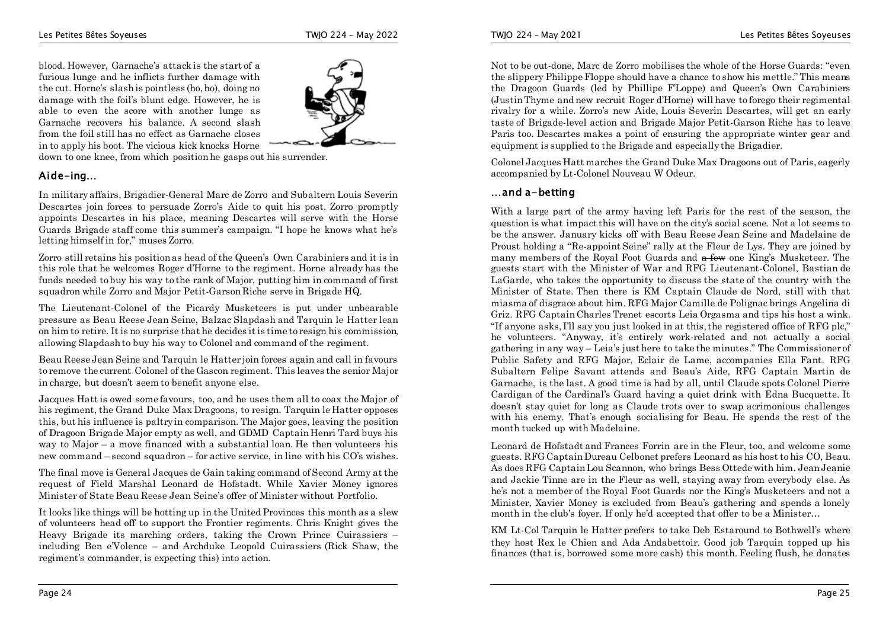blood. However, Garnache's attack is the start of a furious lunge and he inflicts further damage with the cut. Horne's slash is pointless (ho, ho), doing no damage with the foil's blunt edge. However, he is able to even the score with another lunge as Garnache recovers his balance. A second slash from the foil still has no effect as Garnache closes in to apply his boot. The vicious kick knocks Horne



down to one knee, from which position he gasps out his surrender.

#### **Aide-ing…**

In military affairs, Brigadier-General Marc de Zorro and Subaltern Louis Severin Descartes join forces to persuade Zorro's Aide to quit his post. Zorro promptly appoints Descartes in his place, meaning Descartes will serve with the Horse Guards Brigade staff come this summer's campaign. "I hope he knows what he's letting himself in for," muses Zorro.

Zorro still retains his position as head of the Queen's Own Carabiniers and it is in this role that he welcomes Roger d'Horne to the regiment. Horne already has the funds needed to buy his way to the rank of Major, putting him in command of first squadron while Zorro and Major Petit-Garson Riche serve in Brigade HQ.

The Lieutenant-Colonel of the Picardy Musketeers is put under unbearable pressure as Beau Reese Jean Seine, Balzac Slapdash and Tarquin le Hatter lean on him to retire. It is no surprise that he decides it is time to resign his commission, allowing Slapdash to buy his way to Colonel and command of the regiment.

Beau Reese Jean Seine and Tarquin le Hatter join forces again and call in favours to remove the current Colonel of the Gascon regiment. This leaves the senior Major in charge, but doesn't seem to benefit anyone else.

Jacques Hatt is owed some favours, too, and he uses them all to coax the Major of his regiment, the Grand Duke Max Dragoons, to resign. Tarquin le Hatter opposes this, but his influence is paltry in comparison. The Major goes, leaving the position of Dragoon Brigade Major empty as well, and GDMD Captain Henri Tard buys his way to Major – a move financed with a substantial loan. He then volunteers his new command – second squadron – for active service, in line with his CO's wishes.

The final move is General Jacques de Gain taking command of Second Army at the request of Field Marshal Leonard de Hofstadt. While Xavier Money ignores Minister of State Beau Reese Jean Seine's offer of Minister without Portfolio.

It looks like things will be hotting up in the United Provinces this month as a slew of volunteers head off to support the Frontier regiments. Chris Knight gives the Heavy Brigade its marching orders, taking the Crown Prince Cuirassiers – including Ben e'Volence – and Archduke Leopold Cuirassiers (Rick Shaw, the regiment's commander, is expecting this) into action.

Not to be out-done, Marc de Zorro mobilises the whole of the Horse Guards: "even the slippery Philippe Floppe should have a chance to show his mettle." This means the Dragoon Guards (led by Phillipe F'Loppe) and Queen's Own Carabiniers (Justin Thyme and new recruit Roger d'Horne) will have to forego their regimental rivalry for a while. Zorro's new Aide, Louis Severin Descartes, will get an early taste of Brigade-level action and Brigade Major Petit-Garson Riche has to leave Paris too. Descartes makes a point of ensuring the appropriate winter gear and equipment is supplied to the Brigade and especially the Brigadier.

Colonel Jacques Hatt marches the Grand Duke Max Dragoons out of Paris, eagerly accompanied by Lt-Colonel Nouveau W Odeur.

#### **…and a-betting**

With a large part of the army having left Paris for the rest of the season, the question is what impact this will have on the city's social scene. Not a lot seems to be the answer. January kicks off with Beau Reese Jean Seine and Madelaine de Proust holding a "Re-appoint Seine" rally at the Fleur de Lys. They are joined by many members of the Royal Foot Guards and  $\theta$  few one King's Musketeer. The guests start with the Minister of War and RFG Lieutenant-Colonel, Bastian de LaGarde, who takes the opportunity to discuss the state of the country with the Minister of State. Then there is KM Captain Claude de Nord, still with that miasma of disgrace about him. RFG Major Camille de Polignac brings Angelina di Griz. RFG Captain Charles Trenet escorts Leia Orgasma and tips his host a wink. "If anyone asks, I'll say you just looked in at this, the registered office of RFG plc," he volunteers. "Anyway, it's entirely work-related and not actually a social gathering in any way – Leia's just here to take the minutes." The Commissioner of Public Safety and RFG Major, Eclair de Lame, accompanies Ella Fant. RFG Subaltern Felipe Savant attends and Beau's Aide, RFG Captain Martin de Garnache, is the last. A good time is had by all, until Claude spots Colonel Pierre Cardigan of the Cardinal's Guard having a quiet drink with Edna Bucquette. It doesn't stay quiet for long as Claude trots over to swap acrimonious challenges with his enemy. That's enough socialising for Beau. He spends the rest of the month tucked up with Madelaine.

Leonard de Hofstadt and Frances Forrin are in the Fleur, too, and welcome some guests. RFG Captain Dureau Celbonet prefers Leonard as his host to his CO, Beau. As does RFG Captain Lou Scannon, who brings Bess Ottede with him. Jean Jeanie and Jackie Tinne are in the Fleur as well, staying away from everybody else. As he's not a member of the Royal Foot Guards nor the King's Musketeers and not a Minister, Xavier Money is excluded from Beau's gathering and spends a lonely month in the club's foyer. If only he'd accepted that offer to be a Minister…

KM Lt-Col Tarquin le Hatter prefers to take Deb Estaround to Bothwell's where they host Rex le Chien and Ada Andabettoir. Good job Tarquin topped up his finances (that is, borrowed some more cash) this month. Feeling flush, he donates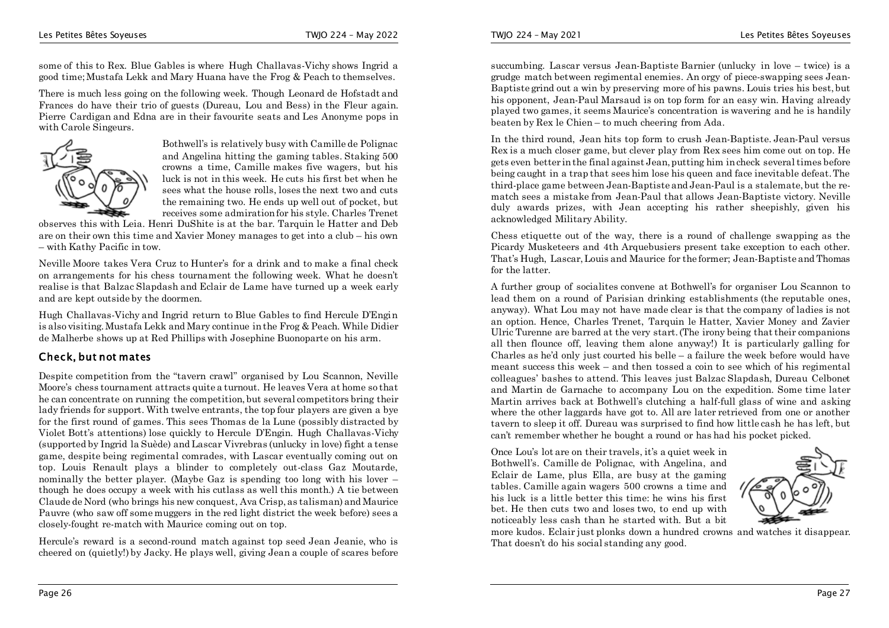some of this to Rex. Blue Gables is where Hugh Challavas-Vichy shows Ingrid a good time;Mustafa Lekk and Mary Huana have the Frog & Peach to themselves.

There is much less going on the following week. Though Leonard de Hofstadt and Frances do have their trio of guests (Dureau, Lou and Bess) in the Fleur again. Pierre Cardigan and Edna are in their favourite seats and Les Anonyme pops in with Carole Singeurs.



Bothwell's is relatively busy with Camille de Polignac and Angelina hitting the gaming tables. Staking 500 crowns a time, Camille makes five wagers, but his luck is not in this week. He cuts his first bet when he sees what the house rolls, loses the next two and cuts the remaining two. He ends up well out of pocket, but receives some admiration for his style. Charles Trenet

observes this with Leia. Henri DuShite is at the bar. Tarquin le Hatter and Deb are on their own this time and Xavier Money manages to get into a club – his own – with Kathy Pacific in tow.

Neville Moore takes Vera Cruz to Hunter's for a drink and to make a final check on arrangements for his chess tournament the following week. What he doesn't realise is that Balzac Slapdash and Eclair de Lame have turned up a week early and are kept outside by the doormen.

Hugh Challavas-Vichy and Ingrid return to Blue Gables to find Hercule D'Engin is also visiting. Mustafa Lekk and Mary continue in the Frog & Peach. While Didier de Malherbe shows up at Red Phillips with Josephine Buonoparte on his arm.

#### **Check, but not mates**

Despite competition from the "tavern crawl" organised by Lou Scannon, Neville Moore's chess tournament attracts quite a turnout. He leaves Vera at home so that he can concentrate on running the competition, but several competitors bring their lady friends for support. With twelve entrants, the top four players are given a bye for the first round of games. This sees Thomas de la Lune (possibly distracted by Violet Bott's attentions) lose quickly to Hercule D'Engin. Hugh Challavas-Vichy (supported by Ingrid la Suède) and Lascar Vivrebras (unlucky in love) fight a tense game, despite being regimental comrades, with Lascar eventually coming out on top. Louis Renault plays a blinder to completely out-class Gaz Moutarde, nominally the better player. (Maybe Gaz is spending too long with his lover  $$ though he does occupy a week with his cutlass as well this month.) A tie between Claude de Nord (who brings his new conquest, Ava Crisp, as talisman) and Maurice Pauvre (who saw off some muggers in the red light district the week before) sees a closely-fought re-match with Maurice coming out on top.

Hercule's reward is a second-round match against top seed Jean Jeanie, who is cheered on (quietly!) by Jacky. He plays well, giving Jean a couple of scares before succumbing. Lascar versus Jean-Baptiste Barnier (unlucky in love – twice) is a grudge match between regimental enemies. An orgy of piece-swapping sees Jean-Baptiste grind out a win by preserving more of his pawns. Louis tries his best, but his opponent, Jean-Paul Marsaud is on top form for an easy win. Having already played two games, it seems Maurice's concentration is wavering and he is handily beaten by Rex le Chien – to much cheering from Ada.

In the third round, Jean hits top form to crush Jean-Baptiste. Jean-Paul versus Rex is a much closer game, but clever play from Rex sees him come out on top. He gets even better in the final against Jean, putting him in check several times before being caught in a trap that sees him lose his queen and face inevitable defeat. The third-place game between Jean-Baptiste and Jean-Paul is a stalemate, but the rematch sees a mistake from Jean-Paul that allows Jean-Baptiste victory. Neville duly awards prizes, with Jean accepting his rather sheepishly, given his acknowledged Military Ability.

Chess etiquette out of the way, there is a round of challenge swapping as the Picardy Musketeers and 4th Arquebusiers present take exception to each other. That's Hugh, Lascar, Louis and Maurice for the former; Jean-Baptiste and Thomas for the latter.

A further group of socialites convene at Bothwell's for organiser Lou Scannon to lead them on a round of Parisian drinking establishments (the reputable ones, anyway). What Lou may not have made clear is that the company of ladies is not an option. Hence, Charles Trenet, Tarquin le Hatter, Xavier Money and Zavier Ulric Turenne are barred at the very start. (The irony being that their companions all then flounce off, leaving them alone anyway!) It is particularly galling for Charles as he'd only just courted his belle – a failure the week before would have meant success this week – and then tossed a coin to see which of his regimental colleagues' bashes to attend. This leaves just Balzac Slapdash, Dureau Celbonet and Martin de Garnache to accompany Lou on the expedition. Some time later Martin arrives back at Bothwell's clutching a half-full glass of wine and asking where the other laggards have got to. All are later retrieved from one or another tavern to sleep it off. Dureau was surprised to find how little cash he has left, but can't remember whether he bought a round or has had his pocket picked.

Once Lou's lot are on their travels, it's a quiet week in Bothwell's. Camille de Polignac, with Angelina, and Eclair de Lame, plus Ella, are busy at the gaming tables. Camille again wagers 500 crowns a time and his luck is a little better this time: he wins his first bet. He then cuts two and loses two, to end up with noticeably less cash than he started with. But a bit



more kudos. Eclair just plonks down a hundred crowns and watches it disappear. That doesn't do his social standing any good.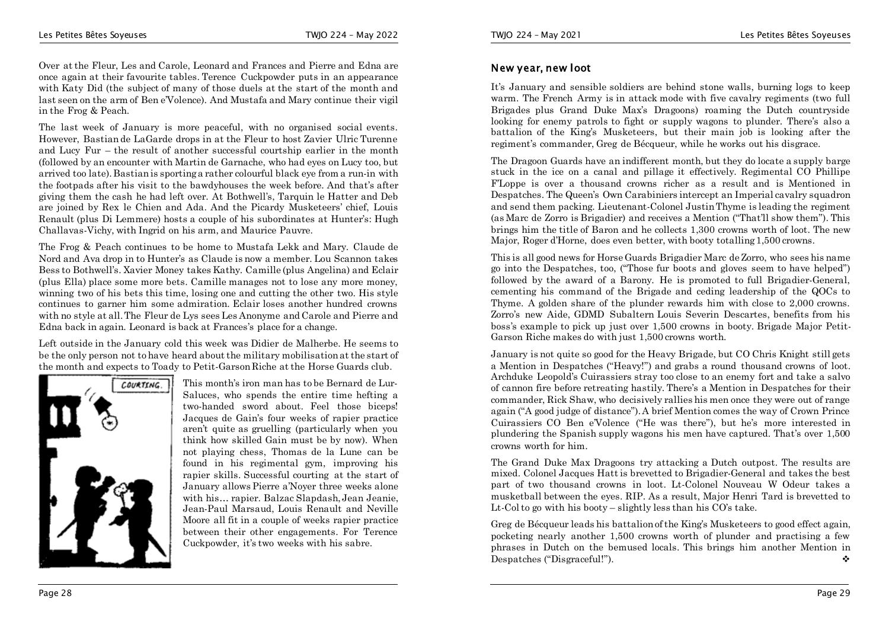Over at the Fleur, Les and Carole, Leonard and Frances and Pierre and Edna are once again at their favourite tables. Terence Cuckpowder puts in an appearance with Katy Did (the subject of many of those duels at the start of the month and last seen on the arm of Ben e'Volence). And Mustafa and Mary continue their vigil in the Frog & Peach.

The last week of January is more peaceful, with no organised social events. However, Bastian de LaGarde drops in at the Fleur to host Zavier Ulric Turenne and Lucy Fur – the result of another successful courtship earlier in the month (followed by an encounter with Martin de Garnache, who had eyes on Lucy too, but arrived too late). Bastian is sporting a rather colourful black eye from a run-in with the footpads after his visit to the bawdyhouses the week before. And that's after giving them the cash he had left over. At Bothwell's, Tarquin le Hatter and Deb are joined by Rex le Chien and Ada. And the Picardy Musketeers' chief, Louis Renault (plus Di Lemmere) hosts a couple of his subordinates at Hunter's: Hugh Challavas-Vichy, with Ingrid on his arm, and Maurice Pauvre.

The Frog & Peach continues to be home to Mustafa Lekk and Mary. Claude de Nord and Ava drop in to Hunter's as Claude is now a member. Lou Scannon takes Bess to Bothwell's. Xavier Money takes Kathy. Camille (plus Angelina) and Eclair (plus Ella) place some more bets. Camille manages not to lose any more money, winning two of his bets this time, losing one and cutting the other two. His style continues to garner him some admiration. Eclair loses another hundred crowns with no style at all. The Fleur de Lys sees Les Anonyme and Carole and Pierre and Edna back in again. Leonard is back at Frances's place for a change.

Left outside in the January cold this week was Didier de Malherbe. He seems to be the only person not to have heard about the military mobilisation at the start of the month and expects to Toady to Petit-Garson Riche at the Horse Guards club.



This month's iron man has to be Bernard de Lur-Saluces, who spends the entire time hefting a two-handed sword about. Feel those biceps! Jacques de Gain's four weeks of rapier practice aren't quite as gruelling (particularly when you think how skilled Gain must be by now). When not playing chess, Thomas de la Lune can be found in his regimental gym, improving his rapier skills. Successful courting at the start of January allows Pierre a'Noyer three weeks alone with his… rapier. Balzac Slapdash, Jean Jeanie, Jean-Paul Marsaud, Louis Renault and Neville Moore all fit in a couple of weeks rapier practice between their other engagements. For Terence Cuckpowder, it's two weeks with his sabre.

#### **New year, new loot**

It's January and sensible soldiers are behind stone walls, burning logs to keep warm. The French Army is in attack mode with five cavalry regiments (two full Brigades plus Grand Duke Max's Dragoons) roaming the Dutch countryside looking for enemy patrols to fight or supply wagons to plunder. There's also a battalion of the King's Musketeers, but their main job is looking after the regiment's commander, Greg de Bécqueur, while he works out his disgrace.

The Dragoon Guards have an indifferent month, but they do locate a supply barge stuck in the ice on a canal and pillage it effectively. Regimental CO Phillipe F'Loppe is over a thousand crowns richer as a result and is Mentioned in Despatches. The Queen's Own Carabiniers intercept an Imperial cavalry squadron and send them packing. Lieutenant-Colonel Justin Thyme is leading the regiment (as Marc de Zorro is Brigadier) and receives a Mention ("That'll show them"). This brings him the title of Baron and he collects 1,300 crowns worth of loot. The new Major, Roger d'Horne, does even better, with booty totalling 1,500 crowns.

This is all good news for Horse Guards Brigadier Marc de Zorro, who sees his name go into the Despatches, too, ("Those fur boots and gloves seem to have helped") followed by the award of a Barony. He is promoted to full Brigadier-General, cementing his command of the Brigade and ceding leadership of the QOCs to Thyme. A golden share of the plunder rewards him with close to 2,000 crowns. Zorro's new Aide, GDMD Subaltern Louis Severin Descartes, benefits from his boss's example to pick up just over 1,500 crowns in booty. Brigade Major Petit-Garson Riche makes do with just 1,500 crowns worth.

January is not quite so good for the Heavy Brigade, but CO Chris Knight still gets a Mention in Despatches ("Heavy!") and grabs a round thousand crowns of loot. Archduke Leopold's Cuirassiers stray too close to an enemy fort and take a salvo of cannon fire before retreating hastily. There's a Mention in Despatches for their commander, Rick Shaw, who decisively rallies his men once they were out of range again ("A good judge of distance"). A brief Mention comes the way of Crown Prince Cuirassiers CO Ben e'Volence ("He was there"), but he's more interested in plundering the Spanish supply wagons his men have captured. That's over 1,500 crowns worth for him.

The Grand Duke Max Dragoons try attacking a Dutch outpost. The results are mixed. Colonel Jacques Hatt is brevetted to Brigadier-General and takes the best part of two thousand crowns in loot. Lt-Colonel Nouveau W Odeur takes a musketball between the eyes. RIP. As a result, Major Henri Tard is brevetted to Lt-Col to go with his booty – slightly less than his CO's take.

Greg de Bécqueur leads his battalion of the King's Musketeers to good effect again, pocketing nearly another 1,500 crowns worth of plunder and practising a few phrases in Dutch on the bemused locals. This brings him another Mention in Despatches ("Disgraceful!").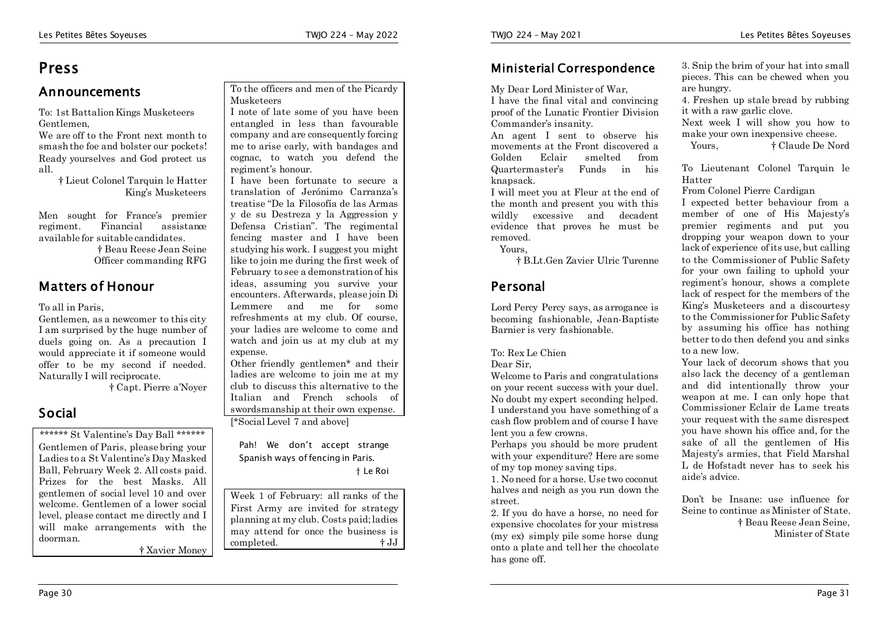### **Press**

#### **Announcements**

To: 1st Battalion Kings Musketeers Gentlemen,

We are off to the Front next month to smash the foe and bolster our pockets! Ready yourselves and God protect us all.

> † Lieut Colonel Tarquin le Hatter King's Musketeers

Men sought for France's premier regiment. Financial assistance available for suitable candidates.

> † Beau Reese Jean Seine Officer commanding RFG

#### **Matters of Honour**

#### To all in Paris,

Gentlemen, as a newcomer to this city I am surprised by the huge number of duels going on. As a precaution I would appreciate it if someone would offer to be my second if needed. Naturally I will reciprocate.

† Capt. Pierre a'Noyer

#### **Social**

\*\*\*\*\*\* St Valentine's Day Ball \*\*\*\*\*\* Gentlemen of Paris, please bring your Ladies to a St Valentine's Day Masked Ball, February Week 2. All costs paid. Prizes for the best Masks. All gentlemen of social level 10 and over welcome. Gentlemen of a lower social level, please contact me directly and I will make arrangements with the doorman.

† Xavier Money

#### To the officers and men of the Picardy Musketeers

I note of late some of you have been entangled in less than favourable company and are consequently forcing me to arise early, with bandages and cognac, to watch you defend the regiment's honour.

I have been fortunate to secure a translation of Jerónimo Carranza's treatise "De la Filosofía de las Armas y de su Destreza y la Aggression y Defensa Cristian". The regimental fencing master and I have been studying his work. I suggest you might like to join me during the first week of February to see a demonstration of his ideas, assuming you survive your encounters. Afterwards, please join Di Lemmere and me for some refreshments at my club. Of course, your ladies are welcome to come and watch and join us at my club at my expense.

Other friendly gentlemen\* and their ladies are welcome to join me at my club to discuss this alternative to the Italian and French schools of swordsmanship at their own expense.

[\*Social Level 7 and above]

Pah! We don't accept strange Spanish ways of fencing in Paris.

#### † Le Roi

Week 1 of February: all ranks of the First Army are invited for strategy planning at my club. Costs paid; ladies may attend for once the business is completed. † JJ

#### **Ministerial Correspondence**

My Dear Lord Minister of War,

I have the final vital and convincing proof of the Lunatic Frontier Division Commander's insanity.

An agent I sent to observe his movements at the Front discovered a Golden Eclair smelted from Quartermaster's Funds in his knapsack.

I will meet you at Fleur at the end of the month and present you with this wildly excessive and decadent evidence that proves he must be removed.

Yours,

† B.Lt.Gen Zavier Ulric Turenne

#### **Personal**

Lord Percy Percy says, as arrogance is becoming fashionable, Jean-Baptiste Barnier is very fashionable.

To: Rex Le Chien

Dear Sir,

Welcome to Paris and congratulations on your recent success with your duel. No doubt my expert seconding helped. I understand you have something of a cash flow problem and of course I have lent you a few crowns.

Perhaps you should be more prudent with your expenditure? Here are some of my top money saving tips.

1. No need for a horse. Use two coconut halves and neigh as you run down the street.

2. If you do have a horse, no need for expensive chocolates for your mistress (my ex) simply pile some horse dung onto a plate and tell her the chocolate has gone off.

3. Snip the brim of your hat into small pieces. This can be chewed when you are hungry.

4. Freshen up stale bread by rubbing it with a raw garlic clove.

Next week I will show you how to make your own inexpensive cheese.

Yours, † Claude De Nord

To Lieutenant Colonel Tarquin le Hatter

From Colonel Pierre Cardigan

I expected better behaviour from a member of one of His Majesty's premier regiments and put you dropping your weapon down to your lack of experience of its use, but calling to the Commissioner of Public Safety for your own failing to uphold your regiment's honour, shows a complete lack of respect for the members of the King's Musketeers and a discourtesy to the Commissioner for Public Safety by assuming his office has nothing better to do then defend you and sinks to a new low.

Your lack of decorum shows that you also lack the decency of a gentleman and did intentionally throw your weapon at me. I can only hope that Commissioner Eclair de Lame treats your request with the same disrespect you have shown his office and, for the sake of all the gentlemen of His Majesty's armies, that Field Marshal L de Hofstadt never has to seek his aide's advice.

Don't be Insane: use influence for Seine to continue as Minister of State. † Beau Reese Jean Seine, Minister of State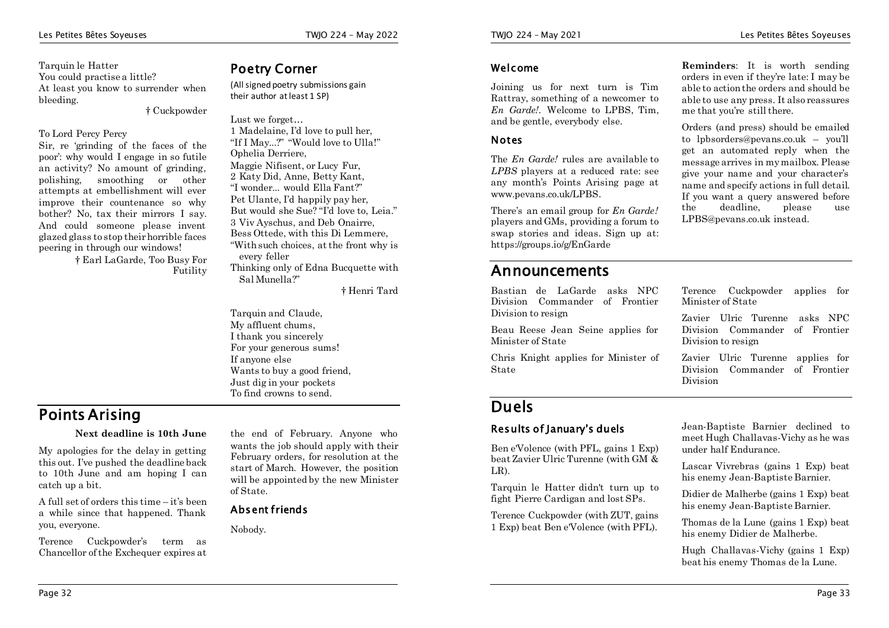#### **Welcome**

Joining us for next turn is Tim Rattray, something of a newcomer to *En Garde!*. Welcome to LPBS, Tim, and be gentle, everybody else.

#### **Notes**

The *En Garde!* rules are available to *LPBS* players at a reduced rate: see any month's Points Arising page at www.pevans.co.uk/LPBS.

There's an email group for *En Garde!* players and GMs, providing a forum to swap stories and ideas. Sign up at: https://groups.io/g/EnGarde

### **Announcements**

Bastian de LaGarde asks NPC Division Commander of Frontier Division to resign

Beau Reese Jean Seine applies for Minister of State

Chris Knight applies for Minister of State

**Reminders**: It is worth sending orders in even if they're late: I may be able to action the orders and should be able to use any press. It also reassures me that you're still there.

Orders (and press) should be emailed to lpbsorders@pevans.co.uk – you'll get an automated reply when the message arrives in my mailbox. Please give your name and your character's name and specify actions in full detail. If you want a query answered before the deadline, please use LPBS@pevans.co.uk instead.

Terence Cuckpowder applies for Minister of State

Zavier Ulric Turenne asks NPC Division Commander of Frontier Division to resign

Zavier Ulric Turenne applies for Division Commander of Frontier Division

### **Duels**

#### **Results of January's duels**

Ben e'Volence (with PFL, gains 1 Exp) beat Zavier Ulric Turenne (with GM & LR).

Tarquin le Hatter didn't turn up to fight Pierre Cardigan and lost SPs.

Terence Cuckpowder (with ZUT, gains 1 Exp) beat Ben e'Volence (with PFL).

Jean-Baptiste Barnier declined to meet Hugh Challavas-Vichy as he was under half Endurance.

Lascar Vivrebras (gains 1 Exp) beat his enemy Jean-Baptiste Barnier.

Didier de Malherbe (gains 1 Exp) beat his enemy Jean-Baptiste Barnier.

Thomas de la Lune (gains 1 Exp) beat his enemy Didier de Malherbe.

Hugh Challavas-Vichy (gains 1 Exp) beat his enemy Thomas de la Lune.

Tarquin le Hatter You could practise a little? At least you know to surrender when bleeding. † Cuckpowder

#### To Lord Percy Percy

Sir, re 'grinding of the faces of the poor': why would I engage in so futile an activity? No amount of grinding, polishing, smoothing or other attempts at embellishment will ever improve their countenance so why bother? No, tax their mirrors I say. And could someone please invent glazed glass to stop their horrible faces peering in through our windows!

> † Earl LaGarde, Too Busy For Futility

#### **Poetry Corner**

(All signed poetry submissions gain their author at least 1 SP)

Lust we forget 1 Madelaine, I'd love to pull her, "If I May...?" "Would love to Ulla!" Ophelia Derriere, Maggie Nifisent, or Lucy Fur, 2 Katy Did, Anne, Betty Kant, "I wonder... would Ella Fant?" Pet Ulante, I'd happily pay her, But would she Sue? "I'd love to, Leia." 3 Viv Ayschus, and Deb Onairre, Bess Ottede, with this Di Lemmere, "With such choices, at the front why is every feller Thinking only of Edna Bucquette with Sal Munella?"

† Henri Tard

Tarquin and Claude. My affluent chums, I thank you sincerely For your generous sums! If anyone else Wants to buy a good friend, Just dig in your pockets To find crowns to send.

### **Points Arising**

Page 32

#### **Next deadline is 10th June**

My apologies for the delay in getting this out. I've pushed the deadline back to 10th June and am hoping I can catch up a bit.

A full set of orders this time – it's been a while since that happened. Thank you, everyone.

Terence Cuckpowder's term as Chancellor of the Exchequer expires at

the end of February. Anyone who wants the job should apply with their February orders, for resolution at the start of March. However, the position will be appointed by the new Minister of State.

#### **Absent friends**

Nobody.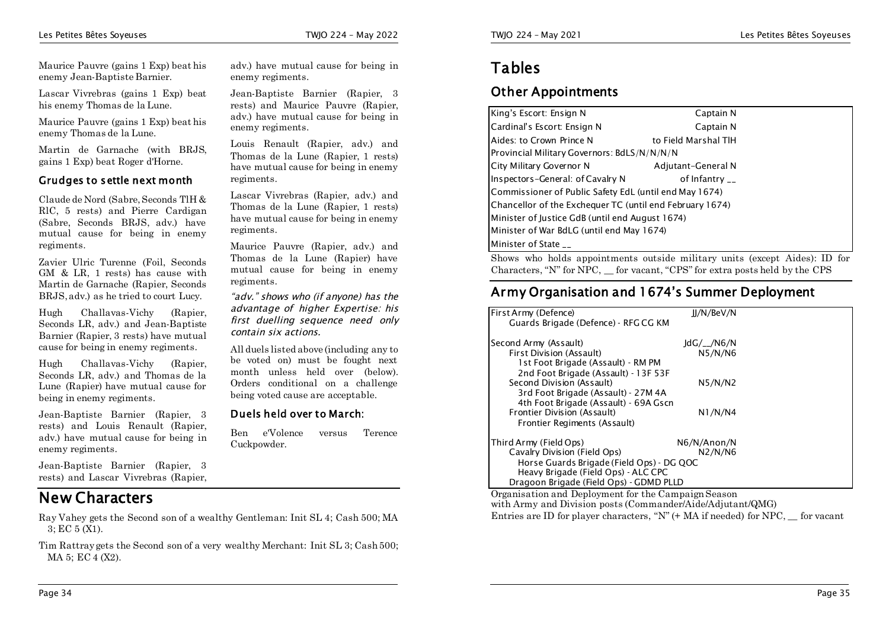Maurice Pauvre (gains 1 Exp) beat his enemy Jean-Baptiste Barnier.

Lascar Vivrebras (gains 1 Exp) beat his enemy Thomas de la Lune.

Maurice Pauvre (gains 1 Exp) beat his enemy Thomas de la Lune.

Martin de Garnache (with BRJS, gains 1 Exp) beat Roger d'Horne.

#### **Grudges to settle next month**

Claude de Nord (Sabre, Seconds TlH & RlC, 5 rests) and Pierre Cardigan (Sabre, Seconds BRJS, adv.) have mutual cause for being in enemy regiments.

Zavier Ulric Turenne (Foil, Seconds GM & LR, 1 rests) has cause with Martin de Garnache (Rapier, Seconds BRJS, adv.) as he tried to court Lucy.

Hugh Challavas-Vichy (Rapier, Seconds LR, adv.) and Jean-Baptiste Barnier (Rapier, 3 rests) have mutual cause for being in enemy regiments.

Hugh Challavas-Vichy (Rapier, Seconds LR, adv.) and Thomas de la Lune (Rapier) have mutual cause for being in enemy regiments.

Jean-Baptiste Barnier (Rapier, 3 rests) and Louis Renault (Rapier, adv.) have mutual cause for being in enemy regiments.

Jean-Baptiste Barnier (Rapier, 3 rests) and Lascar Vivrebras (Rapier,

### **New Characters**

Ray Vahey gets the Second son of a wealthy Gentleman: Init SL 4; Cash 500; MA 3; EC 5 (X1).

Tim Rattray gets the Second son of a very wealthy Merchant: Init SL 3; Cash 500; MA 5; EC 4 (X2).

adv.) have mutual cause for being in enemy regiments.

Jean-Baptiste Barnier (Rapier, 3 rests) and Maurice Pauvre (Rapier, adv.) have mutual cause for being in enemy regiments.

Louis Renault (Rapier, adv.) and Thomas de la Lune (Rapier, 1 rests) have mutual cause for being in enemy regiments.

Lascar Vivrebras (Rapier, adv.) and Thomas de la Lune (Rapier, 1 rests) have mutual cause for being in enemy regiments.

Maurice Pauvre (Rapier, adv.) and Thomas de la Lune (Rapier) have mutual cause for being in enemy regiments.

*"adv." shows who (if anyone) has the advantage of higher Expertise: his first duelling sequence need only contain six actions.*

All duels listed above (including any to be voted on) must be fought next month unless held over (below). Orders conditional on a challenge being voted cause are acceptable.

#### **Duels held over to March:**

Ben e'Volence versus Terence Cuckpowder.

### **Tables**

#### **Other Appointments**

| King's Escort: Ensign N                                  | Captain N                            |
|----------------------------------------------------------|--------------------------------------|
| Cardinal's Escort: Ensign N                              | Captain N                            |
| Aides: to Crown Prince N                                 | to Field Marshal TIH                 |
| Provincial Military Governors: BdLS/N/N/N/N              |                                      |
| City Military Governor N                                 | Adjutant-General N                   |
| Inspectors-General: of Cavalry N                         | of Infantry $\overline{\phantom{a}}$ |
| Commissioner of Public Safety EdL (until end May 1674)   |                                      |
| Chancellor of the Exchequer TC (until end February 1674) |                                      |
| Minister of Justice GdB (until end August 1674)          |                                      |
| Minister of War BdLG (until end May 1674)                |                                      |
| Minister of State __                                     |                                      |

Shows who holds appointments outside military units (except Aides): ID for Characters, "N" for NPC, for vacant, "CPS" for extra posts held by the CPS

#### **Army Organisation and 1674's Summer Deployment**

| First Army (Defence)                      | JJ/N/BeV/N        |  |
|-------------------------------------------|-------------------|--|
| Guards Brigade (Defence) - RFG CG KM      |                   |  |
| Second Army (Assault)                     | $IdG/\gamma N6/N$ |  |
| First Division (Assault)                  | N5/N/N6           |  |
| 1st Foot Brigade (Assault) - RM PM        |                   |  |
| 2nd Foot Brigade (Assault) - 13F 53F      |                   |  |
| Second Division (Assault)                 | N5/N/N2           |  |
| 3rd Foot Brigade (Assault) - 27M 4A       |                   |  |
| 4th Foot Brigade (Assault) - 69A Gscn     |                   |  |
| Frontier Division (Assault)               | N1/N/M4           |  |
| Frontier Regiments (Assault)              |                   |  |
| Third Army (Field Ops)                    | N6/N/Anon/N       |  |
| Cavalry Division (Field Ops)              | N2/N/N6           |  |
| Horse Guards Brigade (Field Ops) - DG QOC |                   |  |
| Heavy Brigade (Field Ops) - ALC CPC       |                   |  |
| Dragoon Brigade (Field Ops) - GDMD PLLD   |                   |  |

Organisation and Deployment for the Campaign Season with Army and Division posts (Commander/Aide/Adjutant/QMG) Entries are ID for player characters, " $N$ " (+ MA if needed) for NPC, for vacant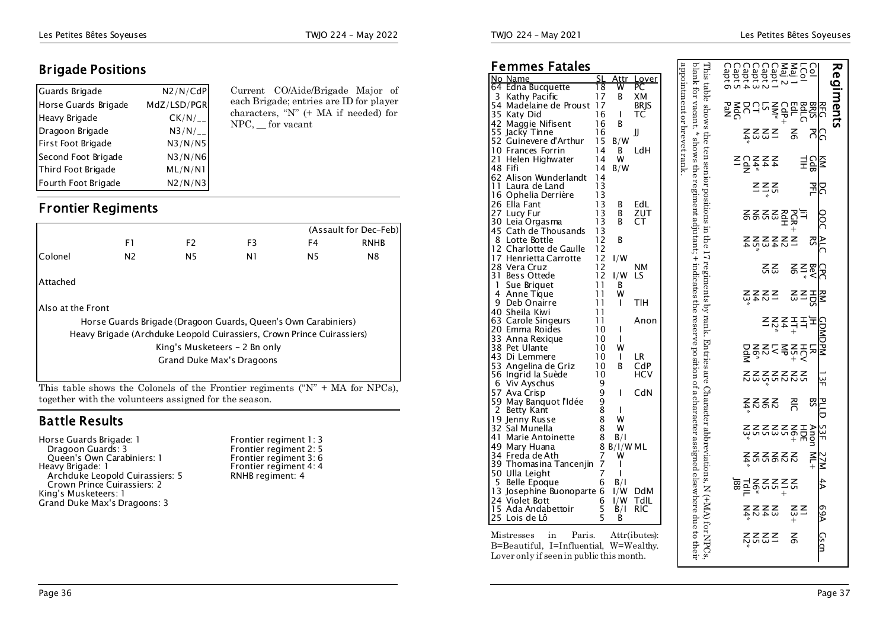#### **Brigade Positions**

| Guards Brigade       | N2/N/CdP     |  |
|----------------------|--------------|--|
| Horse Guards Brigade | MdZ/LSD/PGR  |  |
| Heavy Brigade        | $CK/N/_{--}$ |  |
| Dragoon Brigade      | $N3/N/_{--}$ |  |
| First Foot Brigade   | N3/N/N5      |  |
| Second Foot Brigade  | N3/N/N6      |  |
| Third Foot Brigade   | ML/N/N1      |  |
| Fourth Foot Brigade  | N2/N/N3      |  |

Current CO/Aide/Brigade Major of each Brigade; entries are ID for player characters, "N" (+ MA if needed) for NPC, \_\_ for vacant

#### **Frontier Regiments**

|                   |                                                                        |                               |                |                | (Assault for Dec-Feb) |
|-------------------|------------------------------------------------------------------------|-------------------------------|----------------|----------------|-----------------------|
|                   | F1                                                                     | F <sub>2</sub>                | F <sub>3</sub> | F4             | <b>RNHB</b>           |
| Colonel           | N <sub>2</sub>                                                         | N5                            | N1             | N <sub>5</sub> | N8                    |
| Attached          |                                                                        |                               |                |                |                       |
| Also at the Front |                                                                        |                               |                |                |                       |
|                   | Horse Guards Brigade (Dragoon Guards, Queen's Own Carabiniers)         |                               |                |                |                       |
|                   | Heavy Brigade (Archduke Leopold Cuirassiers, Crown Prince Cuirassiers) |                               |                |                |                       |
|                   |                                                                        | King's Musketeers - 2 Bn only |                |                |                       |
|                   |                                                                        | Grand Duke Max's Dragoons     |                |                |                       |
|                   |                                                                        |                               |                |                |                       |
|                   |                                                                        |                               |                |                |                       |

This table shows the Colonels of the Frontier regiments (" $N$ " + MA for NPCs), together with the volunteers assigned for the season.

#### **Battle Results**

| Horse Guards Brigade: 1         |
|---------------------------------|
| Dragoon Guards: 3               |
| Queen's Own Carabiniers: 1      |
| Heavy Brigade: 1                |
| Archduke Leopold Cuirassiers: 5 |
| Crown Prince Cuirassiers: 2     |
| King's Musketeers: 1            |
| Grand Duke Max's Dragoons: 3    |
|                                 |

#### **Femmes Fatales**

| Femmes Fatales                                                                     |                                         |              |                      |                           |
|------------------------------------------------------------------------------------|-----------------------------------------|--------------|----------------------|---------------------------|
| No Name                                                                            | SL                                      | Attr         | Lover                | appointment or hever rank |
| Edna Bucquette<br>64                                                               | 18                                      | w            | PС                   |                           |
| 3<br>Kathy Pacific                                                                 | 17                                      | В            | XМ                   |                           |
| 54 Madelaine de Proust 17                                                          |                                         |              | <b>BRIS</b>          |                           |
| 35 Katy Did                                                                        | 16                                      | I            | ТC                   |                           |
| 42 Maggie Nifisent                                                                 | 16                                      | B            |                      |                           |
| 55 Jacky Tinne<br>52 Guinevere d'Arthur                                            | 16                                      |              | JJ                   |                           |
|                                                                                    | 15                                      | B/W          |                      |                           |
| 10 Frances Forrin                                                                  | 14                                      | B            | LdH                  |                           |
| 21<br>Helen Highwater                                                              | 14                                      | w            |                      |                           |
| 48 Fifi                                                                            | 14                                      | B/W          |                      |                           |
| 62 Alison Wunderlandt                                                              | 14                                      |              |                      |                           |
| 11<br>Laura de Land                                                                | 13                                      |              |                      |                           |
| 16 Ophelia Derrière                                                                | 13                                      |              |                      |                           |
| 26 Ella Fant                                                                       | 13                                      | В            | EdL                  |                           |
| 27 Lucy Fur                                                                        | 13                                      | В            | ZUT                  |                           |
| 30 Leia Orgasma                                                                    | 13                                      | В            | CТ                   |                           |
| 45 Cath de Thousands                                                               | $\begin{array}{c} 13 \\ 12 \end{array}$ |              |                      |                           |
| Lotte Bottle<br>8                                                                  |                                         | B            |                      |                           |
| 12 Charlotte de Gaulle                                                             | 12                                      |              |                      |                           |
| 17 Henrietta Carrotte                                                              | $\begin{array}{c} 12 \\ 12 \end{array}$ | I/W          |                      |                           |
| 28 Vera Cruz                                                                       |                                         |              | NΜ                   |                           |
| 31 Bess Ottede                                                                     |                                         | l/W          | LS                   |                           |
| Sue Briguet<br>1                                                                   |                                         | B            |                      |                           |
| $\begin{array}{c} 12 \\ 12 \\ 11 \\ 11 \\ 11 \\ 11 \end{array}$<br>4<br>Anne Tique |                                         | W            |                      |                           |
| 9<br>Deb Onairre                                                                   |                                         | T            | TIH                  |                           |
| 40 Sheila Kiwi                                                                     | 11                                      |              |                      |                           |
| 63 Carole Singeurs<br>20 Emma Roides                                               | 11<br>10                                |              | Anon                 |                           |
| zo Emma Roides<br>33 Anna Rexique<br>38 Pet Ulante                                 | 10                                      | L            |                      |                           |
| 38 Pet Ulante                                                                      | 10                                      | Ш<br>W       |                      |                           |
| 43 Di Lemmere                                                                      | 10                                      | $\mathbf{I}$ | LR                   |                           |
|                                                                                    | 10                                      | B            | CdP                  |                           |
| 53  Angelina de Griz<br>56  Ingrid la Suède                                        | 10                                      |              | HCV                  |                           |
| 6                                                                                  | 9                                       |              |                      |                           |
| Viv Ays chus                                                                       | 9                                       | I            | CdN                  |                           |
| 57 Ava Crisp<br>59 May Banquot l'Idée                                              | 9                                       |              |                      |                           |
| Betty Kant<br>2                                                                    | $\bar{8}$                               | L            |                      |                           |
| 19 Jenny Russe                                                                     | $\bar{8}$                               | W            |                      |                           |
| 32 Sal Munella                                                                     | $\bar{8}$                               | W            |                      |                           |
| 41<br>Marie Antoinette                                                             | 8                                       | B/I          |                      |                           |
| 49 Mary Huana                                                                      |                                         | 8 B/I/W ML   |                      |                           |
| 34 Freda de Ath                                                                    |                                         | W            |                      |                           |
| 39 Thomasina Tancenjin                                                             | $\frac{7}{7}$                           | ı            |                      |                           |
| 50 Ulla Leight                                                                     | 7                                       | ı            |                      |                           |
| 5 Belle Epoque                                                                     | 6                                       | B/I          |                      |                           |
| 13 Josephine Buonoparte 6                                                          |                                         | I/W          | <b>DdM</b>           |                           |
| 24 Violet Bott                                                                     | 6                                       | 1/W          | TdlL                 |                           |
| Ada Andabettoir<br>15                                                              |                                         | $\dot{B}/I$  | RIC                  |                           |
| 25<br>Lois de Lô                                                                   | $\frac{5}{5}$                           | В            |                      |                           |
|                                                                                    |                                         |              |                      |                           |
| Mistresses<br>in                                                                   |                                         |              | Paris. Attr(ibutes): |                           |
| B=Beautiful, I=Influential, W=Wealthy.                                             |                                         |              |                      |                           |

Lover only if seen in public this month.

TWJO 224 – May 2021 Les Petites Bêtes Soyeuses

|                                           |                          |                      |     |                                     |                 |     |                                               |                             |                              |        |                         |                            | ມິຍາ                                                                                                                                                                           |
|-------------------------------------------|--------------------------|----------------------|-----|-------------------------------------|-----------------|-----|-----------------------------------------------|-----------------------------|------------------------------|--------|-------------------------|----------------------------|--------------------------------------------------------------------------------------------------------------------------------------------------------------------------------|
|                                           |                          |                      | ŠΣ  |                                     |                 |     |                                               | 52                          |                              | $\leq$ |                         |                            |                                                                                                                                                                                |
|                                           |                          |                      |     |                                     |                 |     |                                               |                             |                              |        |                         |                            |                                                                                                                                                                                |
|                                           |                          |                      |     |                                     |                 |     |                                               |                             |                              |        |                         |                            | $\mathsf{R}^{\mathsf{C}}$                                                                                                                                                      |
|                                           |                          |                      |     |                                     |                 |     |                                               |                             |                              |        |                         |                            |                                                                                                                                                                                |
|                                           |                          |                      |     |                                     |                 |     |                                               |                             |                              |        |                         |                            |                                                                                                                                                                                |
|                                           |                          |                      |     |                                     |                 |     |                                               |                             |                              |        |                         |                            | ្ភី៩៩៩                                                                                                                                                                         |
|                                           |                          |                      |     |                                     |                 |     |                                               |                             |                              |        |                         |                            |                                                                                                                                                                                |
|                                           |                          |                      |     |                                     |                 |     |                                               |                             |                              |        |                         |                            |                                                                                                                                                                                |
|                                           |                          |                      |     |                                     |                 |     |                                               |                             |                              |        |                         |                            |                                                                                                                                                                                |
|                                           |                          |                      |     |                                     |                 |     |                                               |                             |                              |        |                         |                            |                                                                                                                                                                                |
| პ<br>ი<br>÷mm<br>Ž∑S<br>ြ<br>$\mathsf{S}$ | $5.257$<br>$5.222$<br>호령 | %<br>$Z \leq Z \leq$ | OOC | $\triangle L$<br><b>云 오 조 오 오 즈</b> | šξ<br>임a호<br>인종 | ESZ | <b>CDMDPM</b><br>2 *<br>022555555<br>02255555 | ៜៜៜឨឨឨឨ<br>៷៓៓៓៓៓៓ឨឨឨឨ<br>윾 | ž Š Š Š<br><b>PLLD</b><br>NC | 53F    | <b>ร์</b> ละระระ<br>27M | 4A<br><u>e 국 호</u><br>프 호텔 | 69A<br>$\overset{\ast}{\triangle}$ $\overset{\ast}{\triangle}$ $\overset{\ast}{\triangle}$ $\overset{\ast}{\triangle}$ $\overset{\ast}{\triangle}$ $\overset{\ast}{\triangle}$ |